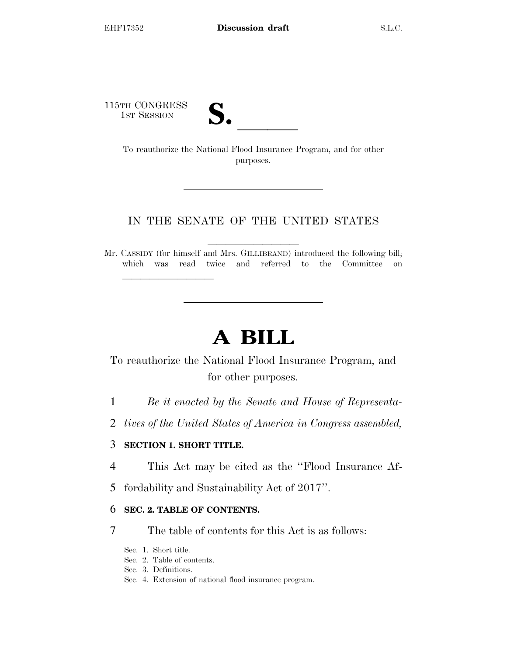115TH CONGRESS

TH CONGRESS<br>
1st Session<br>
To reauthorize the National Flood Insurance Program, and for other purposes.

# IN THE SENATE OF THE UNITED STATES

Mr. CASSIDY (for himself and Mrs. GILLIBRAND) introduced the following bill; which was read twice and referred to the Committee on

# **A BILL**

To reauthorize the National Flood Insurance Program, and for other purposes.

- 1 *Be it enacted by the Senate and House of Representa-*
- 2 *tives of the United States of America in Congress assembled,*

## 3 **SECTION 1. SHORT TITLE.**

lla se al constituir a la constituir a la constituir a la constituir a la constituir a la constituir a la cons<br>La constituir a la constituir a la constituir a la constituir a la constituir a la constituir a la constituir

- 4 This Act may be cited as the ''Flood Insurance Af-
- 5 fordability and Sustainability Act of 2017''.

## 6 **SEC. 2. TABLE OF CONTENTS.**

- 7 The table of contents for this Act is as follows:
	- Sec. 1. Short title.
	- Sec. 2. Table of contents.
	- Sec. 3. Definitions.
	- Sec. 4. Extension of national flood insurance program.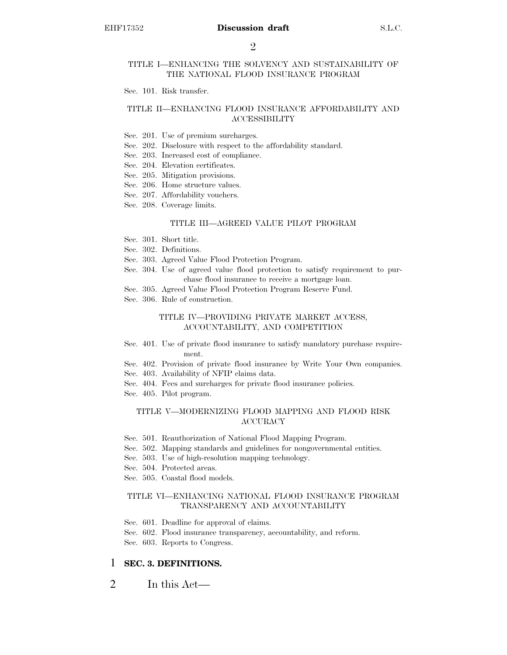#### TITLE I—ENHANCING THE SOLVENCY AND SUSTAINABILITY OF THE NATIONAL FLOOD INSURANCE PROGRAM

Sec. 101. Risk transfer.

#### TITLE II—ENHANCING FLOOD INSURANCE AFFORDABILITY AND ACCESSIBILITY

- Sec. 201. Use of premium surcharges.
- Sec. 202. Disclosure with respect to the affordability standard.
- Sec. 203. Increased cost of compliance.
- Sec. 204. Elevation certificates.
- Sec. 205. Mitigation provisions.
- Sec. 206. Home structure values.
- Sec. 207. Affordability vouchers.
- Sec. 208. Coverage limits.

#### TITLE III—AGREED VALUE PILOT PROGRAM

- Sec. 301. Short title.
- Sec. 302. Definitions.
- Sec. 303. Agreed Value Flood Protection Program.
- Sec. 304. Use of agreed value flood protection to satisfy requirement to purchase flood insurance to receive a mortgage loan.
- Sec. 305. Agreed Value Flood Protection Program Reserve Fund.
- Sec. 306. Rule of construction.

#### TITLE IV—PROVIDING PRIVATE MARKET ACCESS, ACCOUNTABILITY, AND COMPETITION

- Sec. 401. Use of private flood insurance to satisfy mandatory purchase requirement.
- Sec. 402. Provision of private flood insurance by Write Your Own companies.
- Sec. 403. Availability of NFIP claims data.
- Sec. 404. Fees and surcharges for private flood insurance policies.
- Sec. 405. Pilot program.

#### TITLE V—MODERNIZING FLOOD MAPPING AND FLOOD RISK ACCURACY

- Sec. 501. Reauthorization of National Flood Mapping Program.
- Sec. 502. Mapping standards and guidelines for nongovernmental entities.
- Sec. 503. Use of high-resolution mapping technology.
- Sec. 504. Protected areas.
- Sec. 505. Coastal flood models.

#### TITLE VI—ENHANCING NATIONAL FLOOD INSURANCE PROGRAM TRANSPARENCY AND ACCOUNTABILITY

- Sec. 601. Deadline for approval of claims.
- Sec. 602. Flood insurance transparency, accountability, and reform.

Sec. 603. Reports to Congress.

#### 1 **SEC. 3. DEFINITIONS.**

2 In this Act—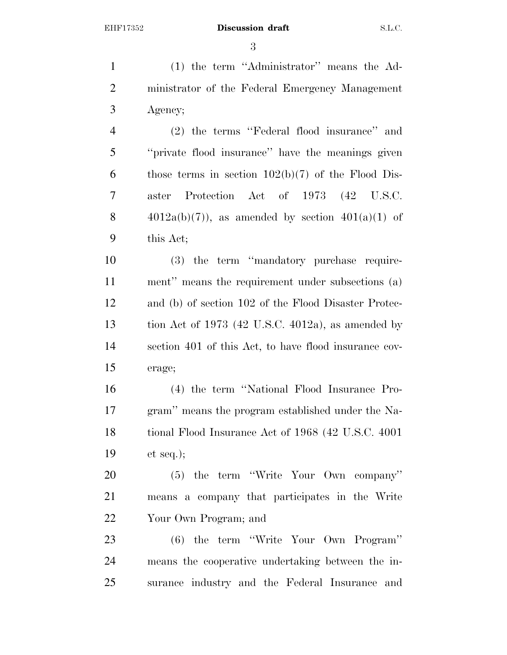(1) the term ''Administrator'' means the Ad- ministrator of the Federal Emergency Management Agency; (2) the terms ''Federal flood insurance'' and ''private flood insurance'' have the meanings given 6 those terms in section  $102(b)(7)$  of the Flood Dis- aster Protection Act of 1973 (42 U.S.C.  $4012a(b)(7)$ , as amended by section  $401(a)(1)$  of this Act; (3) the term ''mandatory purchase require- ment'' means the requirement under subsections (a) and (b) of section 102 of the Flood Disaster Protec- tion Act of 1973 (42 U.S.C. 4012a), as amended by section 401 of this Act, to have flood insurance cov- erage; (4) the term ''National Flood Insurance Pro- gram'' means the program established under the Na- tional Flood Insurance Act of 1968 (42 U.S.C. 4001 et seq.); (5) the term ''Write Your Own company''

Your Own Program; and

 (6) the term ''Write Your Own Program'' means the cooperative undertaking between the in-surance industry and the Federal Insurance and

means a company that participates in the Write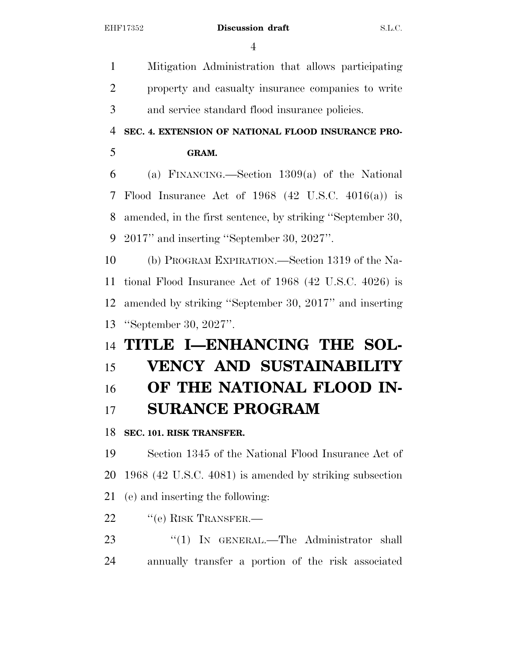Mitigation Administration that allows participating property and casualty insurance companies to write and service standard flood insurance policies. **SEC. 4. EXTENSION OF NATIONAL FLOOD INSURANCE PRO- GRAM.**  (a) FINANCING.—Section 1309(a) of the National Flood Insurance Act of 1968 (42 U.S.C. 4016(a)) is amended, in the first sentence, by striking ''September 30, 2017'' and inserting ''September 30, 2027''. (b) PROGRAM EXPIRATION.—Section 1319 of the Na- tional Flood Insurance Act of 1968 (42 U.S.C. 4026) is amended by striking ''September 30, 2017'' and inserting ''September 30, 2027''. **TITLE I—ENHANCING THE SOL- VENCY AND SUSTAINABILITY OF THE NATIONAL FLOOD IN- SURANCE PROGRAM SEC. 101. RISK TRANSFER.**  Section 1345 of the National Flood Insurance Act of 1968 (42 U.S.C. 4081) is amended by striking subsection (e) and inserting the following: 22 "(e) RISK TRANSFER.—

23 "(1) IN GENERAL.—The Administrator shall annually transfer a portion of the risk associated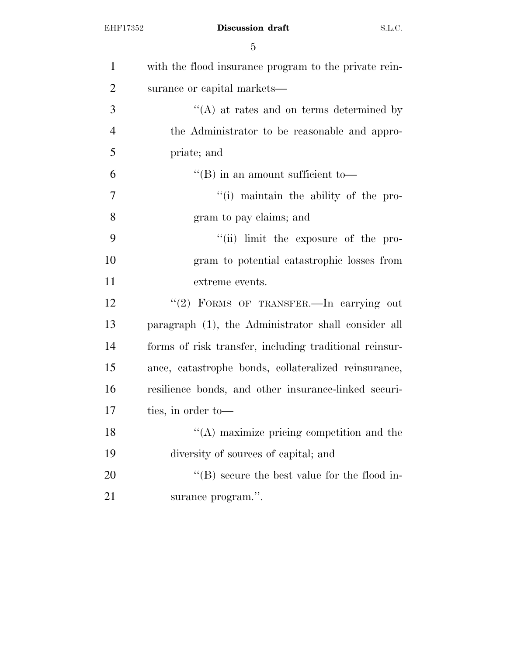| $\mathbf{1}$   | with the flood insurance program to the private rein-  |
|----------------|--------------------------------------------------------|
| $\overline{2}$ | surance or capital markets—                            |
| 3              | $\lq\lq$ at rates and on terms determined by           |
| $\overline{4}$ | the Administrator to be reasonable and appro-          |
| 5              | priate; and                                            |
| 6              | $\lq\lq$ (B) in an amount sufficient to-               |
| 7              | "(i) maintain the ability of the pro-                  |
| 8              | gram to pay claims; and                                |
| 9              | "(ii) limit the exposure of the pro-                   |
| 10             | gram to potential catastrophic losses from             |
| 11             | extreme events.                                        |
| 12             | "(2) FORMS OF TRANSFER.—In carrying out                |
| 13             | paragraph (1), the Administrator shall consider all    |
| 14             | forms of risk transfer, including traditional reinsur- |
| 15             | ance, catastrophe bonds, collateralized reinsurance,   |
| 16             | resilience bonds, and other insurance-linked securi-   |
| 17             | ties, in order to-                                     |
| 18             | "(A) maximize pricing competition and the              |
| 19             | diversity of sources of capital; and                   |
| 20             | $\lq\lq$ (B) secure the best value for the flood in-   |
| 21             | surance program.".                                     |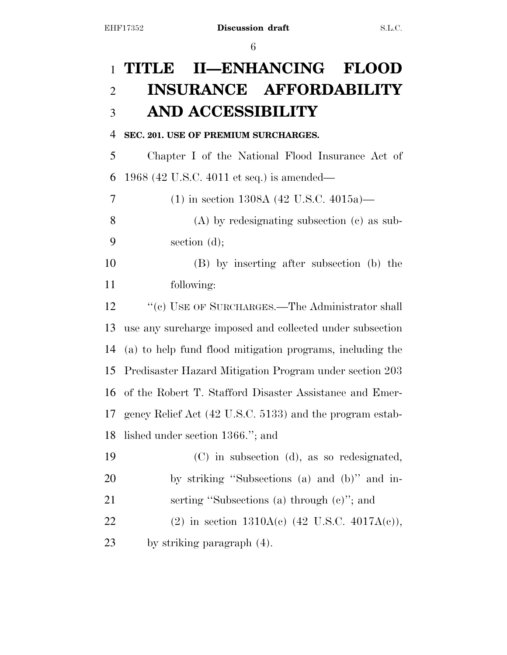# **TITLE II—ENHANCING FLOOD INSURANCE AFFORDABILITY AND ACCESSIBILITY**

# **SEC. 201. USE OF PREMIUM SURCHARGES.**

 Chapter I of the National Flood Insurance Act of 1968 (42 U.S.C. 4011 et seq.) is amended—

 (1) in section 1308A (42 U.S.C. 4015a)— (A) by redesignating subsection (c) as sub-section (d);

 (B) by inserting after subsection (b) the following:

12 ''(c) USE OF SURCHARGES.—The Administrator shall use any surcharge imposed and collected under subsection (a) to help fund flood mitigation programs, including the Predisaster Hazard Mitigation Program under section 203 of the Robert T. Stafford Disaster Assistance and Emer- gency Relief Act (42 U.S.C. 5133) and the program estab-lished under section 1366.''; and

| 19 | (C) in subsection (d), as so redesignated,      |
|----|-------------------------------------------------|
| 20 | by striking "Subsections (a) and (b)" and in-   |
| 21 | serting "Subsections (a) through $(e)$ "; and   |
| 22 | (2) in section $1310A(c)$ (42 U.S.C. 4017A(c)), |
| 23 | by striking paragraph (4).                      |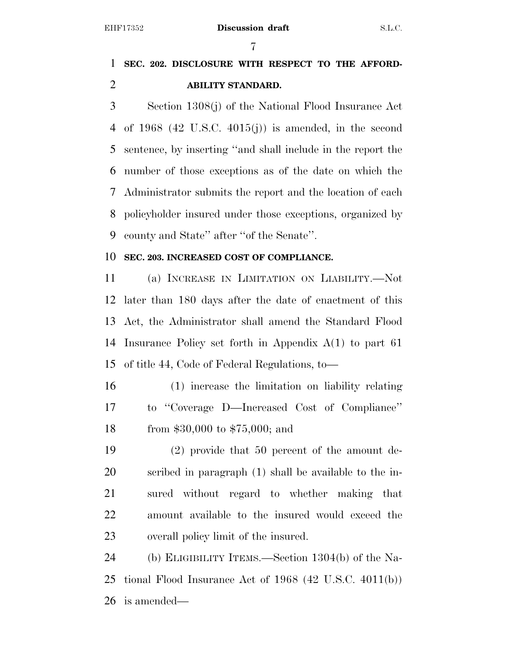# **SEC. 202. DISCLOSURE WITH RESPECT TO THE AFFORD-ABILITY STANDARD.**

 Section 1308(j) of the National Flood Insurance Act of 1968 (42 U.S.C. 4015(j)) is amended, in the second sentence, by inserting ''and shall include in the report the number of those exceptions as of the date on which the Administrator submits the report and the location of each policyholder insured under those exceptions, organized by county and State'' after ''of the Senate''.

## **SEC. 203. INCREASED COST OF COMPLIANCE.**

 (a) INCREASE IN LIMITATION ON LIABILITY.—Not later than 180 days after the date of enactment of this Act, the Administrator shall amend the Standard Flood Insurance Policy set forth in Appendix A(1) to part 61 of title 44, Code of Federal Regulations, to—

- (1) increase the limitation on liability relating to ''Coverage D—Increased Cost of Compliance'' from \$30,000 to \$75,000; and
- (2) provide that 50 percent of the amount de- scribed in paragraph (1) shall be available to the in- sured without regard to whether making that amount available to the insured would exceed the overall policy limit of the insured.

 (b) ELIGIBILITY ITEMS.—Section 1304(b) of the Na- tional Flood Insurance Act of 1968 (42 U.S.C. 4011(b)) is amended—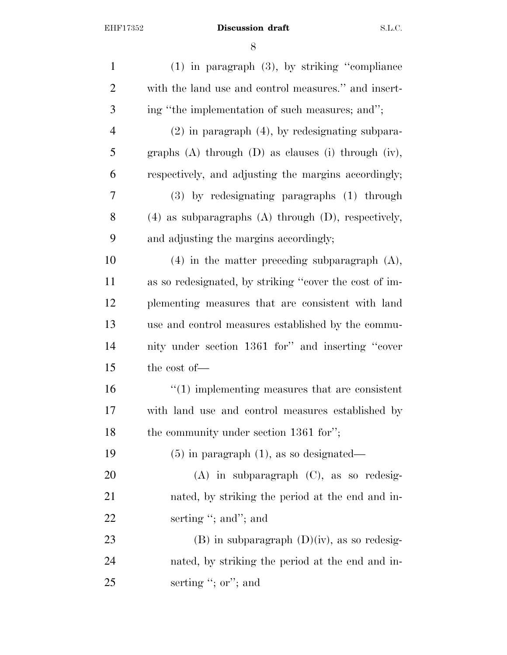| $\mathbf{1}$   | $(1)$ in paragraph $(3)$ , by striking "compliance           |
|----------------|--------------------------------------------------------------|
| $\overline{2}$ | with the land use and control measures." and insert-         |
| 3              | ing "the implementation of such measures; and";              |
| $\overline{4}$ | $(2)$ in paragraph $(4)$ , by redesignating subpara-         |
| 5              | graphs $(A)$ through $(D)$ as clauses $(i)$ through $(iv)$ , |
| 6              | respectively, and adjusting the margins accordingly;         |
| 7              | $(3)$ by redesignating paragraphs $(1)$ through              |
| 8              | $(4)$ as subparagraphs $(A)$ through $(D)$ , respectively,   |
| 9              | and adjusting the margins accordingly;                       |
| 10             | $(4)$ in the matter preceding subparagraph $(A)$ ,           |
| 11             | as so redesignated, by striking "cover the cost of im-       |
| 12             | plementing measures that are consistent with land            |
| 13             | use and control measures established by the commu-           |
| 14             | nity under section 1361 for" and inserting "cover            |
| 15             | the cost of-                                                 |
| 16             | $\lq(1)$ implementing measures that are consistent           |
| 17             | with land use and control measures established by            |
| 18             | the community under section 1361 for";                       |
| 19             | $(5)$ in paragraph $(1)$ , as so designated—                 |
| 20             | $(A)$ in subparagraph $(C)$ , as so redesig-                 |
| 21             | nated, by striking the period at the end and in-             |
| 22             | serting "; and"; and                                         |
| 23             | $(B)$ in subparagraph $(D)(iv)$ , as so redesig-             |
| 24             | nated, by striking the period at the end and in-             |
| 25             | serting "; $or$ "; and                                       |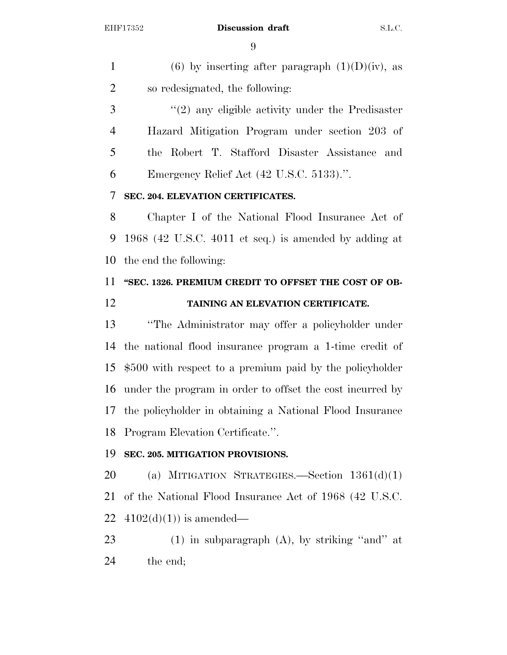1 (6) by inserting after paragraph  $(1)(D)(iv)$ , as so redesignated, the following:

3 "(2) any eligible activity under the Predisaster Hazard Mitigation Program under section 203 of the Robert T. Stafford Disaster Assistance and Emergency Relief Act (42 U.S.C. 5133).''.

## **SEC. 204. ELEVATION CERTIFICATES.**

 Chapter I of the National Flood Insurance Act of 1968 (42 U.S.C. 4011 et seq.) is amended by adding at the end the following:

# **''SEC. 1326. PREMIUM CREDIT TO OFFSET THE COST OF OB-TAINING AN ELEVATION CERTIFICATE.**

 ''The Administrator may offer a policyholder under the national flood insurance program a 1-time credit of \$500 with respect to a premium paid by the policyholder under the program in order to offset the cost incurred by the policyholder in obtaining a National Flood Insurance Program Elevation Certificate.''.

# **SEC. 205. MITIGATION PROVISIONS.**

 (a) MITIGATION STRATEGIES.—Section 1361(d)(1) of the National Flood Insurance Act of 1968 (42 U.S.C. 22  $4102(d)(1)$  is amended—

 (1) in subparagraph (A), by striking ''and'' at the end;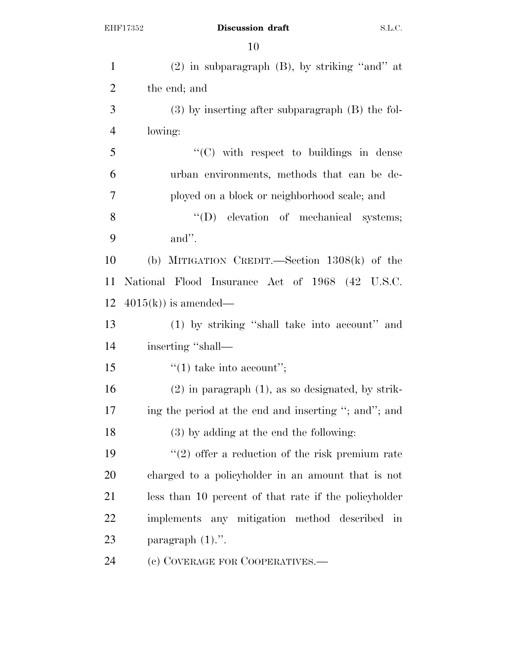| $\mathbf{1}$   | $(2)$ in subparagraph $(B)$ , by striking "and" at                |
|----------------|-------------------------------------------------------------------|
| $\overline{2}$ | the end; and                                                      |
| 3              | $(3)$ by inserting after subparagraph $(B)$ the fol-              |
| $\overline{4}$ | lowing:                                                           |
| 5              | "(C) with respect to buildings in dense                           |
| 6              | urban environments, methods that can be de-                       |
| 7              | ployed on a block or neighborhood scale; and                      |
| 8              | "(D) elevation of mechanical systems;                             |
| 9              | and".                                                             |
| 10             | (b) MITIGATION CREDIT.—Section $1308(k)$ of the                   |
| 11             | National Flood Insurance Act of 1968 (42 U.S.C.                   |
| 12             | $4015(k)$ is amended—                                             |
| 13             | (1) by striking "shall take into account" and                     |
| 14             | inserting "shall—                                                 |
| 15             | $\lq(1)$ take into account";                                      |
| 16             | $(2)$ in paragraph $(1)$ , as so designated, by strik-            |
| 17             | ing the period at the end and inserting "; and"; and              |
| 18             | (3) by adding at the end the following:                           |
| 19             | $\lq(2)$ offer a reduction of the risk premium rate               |
| 20             | charged to a policyholder in an amount that is not                |
| 21             | less than 10 percent of that rate if the policyholder             |
| 22             | implements any mitigation method described<br>$\operatorname{in}$ |
| 23             | paragraph $(1)$ .".                                               |
| 24             | (c) COVERAGE FOR COOPERATIVES.—                                   |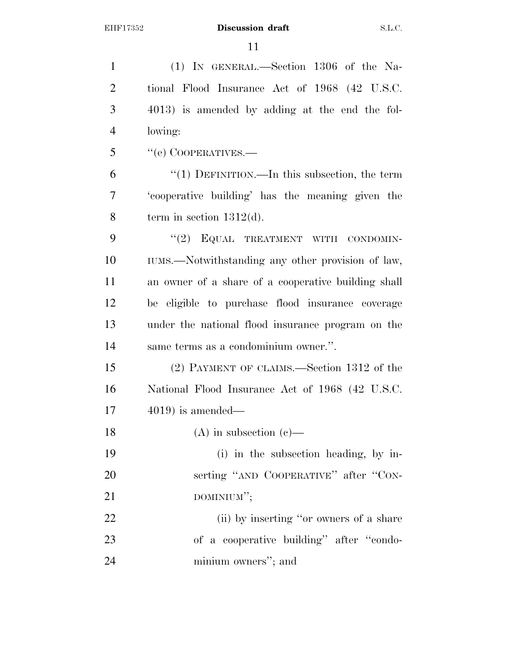| $\mathbf{1}$   | (1) IN GENERAL.—Section 1306 of the Na-             |
|----------------|-----------------------------------------------------|
| $\overline{2}$ | tional Flood Insurance Act of 1968 (42 U.S.C.       |
| 3              | 4013) is amended by adding at the end the fol-      |
| $\overline{4}$ | lowing:                                             |
| 5              | "(e) COOPERATIVES.—                                 |
| 6              | "(1) DEFINITION.—In this subsection, the term       |
| $\overline{7}$ | 'cooperative building' has the meaning given the    |
| 8              | term in section $1312(d)$ .                         |
| 9              | "(2) EQUAL TREATMENT WITH CONDOMIN-                 |
| 10             | IUMS.—Notwithstanding any other provision of law,   |
| 11             | an owner of a share of a cooperative building shall |
| 12             | be eligible to purchase flood insurance coverage    |
| 13             | under the national flood insurance program on the   |
| 14             | same terms as a condominium owner.".                |
| 15             | (2) PAYMENT OF CLAIMS.—Section 1312 of the          |
| 16             | National Flood Insurance Act of 1968 (42 U.S.C.     |
| 17             | $4019$ ) is amended—                                |
| 18             | $(A)$ in subsection $(e)$ —                         |
| 19             | (i) in the subsection heading, by in-               |
| 20             | serting "AND COOPERATIVE" after "CON-               |
| 21             | DOMINIUM";                                          |
| 22             | (ii) by inserting "or owners of a share             |
| 23             | of a cooperative building" after "condo-            |
| 24             | minium owners"; and                                 |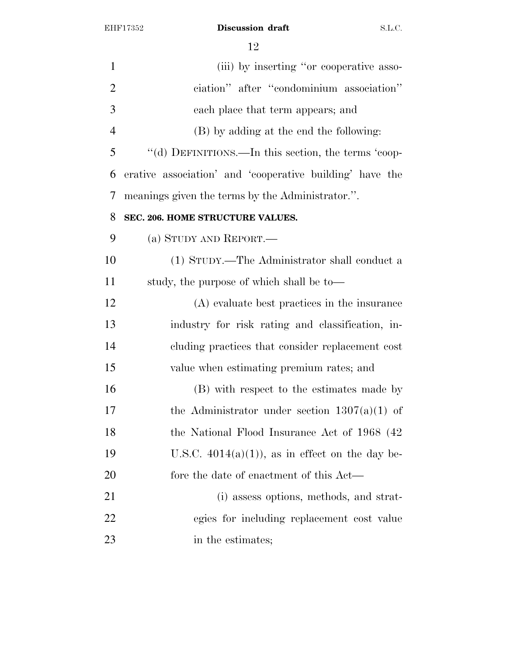| 1              | (iii) by inserting "or cooperative asso-                 |
|----------------|----------------------------------------------------------|
| $\overline{2}$ | ciation" after "condominium association"                 |
| 3              | each place that term appears; and                        |
| $\overline{4}$ | (B) by adding at the end the following:                  |
| 5              | "(d) DEFINITIONS.—In this section, the terms 'coop-      |
| 6              | erative association' and 'cooperative building' have the |
| 7              | meanings given the terms by the Administrator.".         |
| 8              | SEC. 206. HOME STRUCTURE VALUES.                         |
| 9              | (a) STUDY AND REPORT.                                    |
| 10             | (1) STUDY.—The Administrator shall conduct a             |
| 11             | study, the purpose of which shall be to—                 |
| 12             | (A) evaluate best practices in the insurance             |
| 13             | industry for risk rating and classification, in-         |
| 14             | cluding practices that consider replacement cost         |
| 15             | value when estimating premium rates; and                 |
| 16             | (B) with respect to the estimates made by                |
| 17             | the Administrator under section $1307(a)(1)$ of          |
| 18             | the National Flood Insurance Act of 1968 (42)            |
| 19             | U.S.C. $4014(a)(1)$ , as in effect on the day be-        |
| 20             | fore the date of enactment of this Act—                  |
| 21             | (i) assess options, methods, and strat-                  |
| 22             | egies for including replacement cost value               |
| 23             | in the estimates;                                        |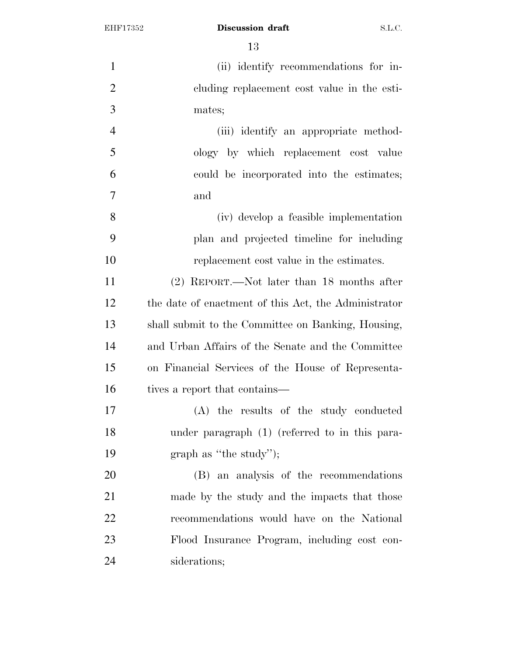| $\mathbf{1}$   | (ii) identify recommendations for in-                |
|----------------|------------------------------------------------------|
| $\overline{2}$ | cluding replacement cost value in the esti-          |
| 3              | mates;                                               |
| $\overline{4}$ | (iii) identify an appropriate method-                |
| 5              | ology by which replacement cost value                |
| 6              | could be incorporated into the estimates;            |
| $\tau$         | and                                                  |
| 8              | (iv) develop a feasible implementation               |
| 9              | plan and projected timeline for including            |
| 10             | replacement cost value in the estimates.             |
| 11             | $(2)$ REPORT.—Not later than 18 months after         |
| 12             | the date of enactment of this Act, the Administrator |
| 13             | shall submit to the Committee on Banking, Housing,   |
| 14             | and Urban Affairs of the Senate and the Committee    |
| 15             | on Financial Services of the House of Representa-    |
| 16             | tives a report that contains—                        |
| 17             | (A) the results of the study conducted               |
| 18             | under paragraph (1) (referred to in this para-       |
| 19             | graph as "the study");                               |
| 20             | (B) an analysis of the recommendations               |
| 21             | made by the study and the impacts that those         |
| 22             | recommendations would have on the National           |
| 23             | Flood Insurance Program, including cost con-         |
| 24             | siderations;                                         |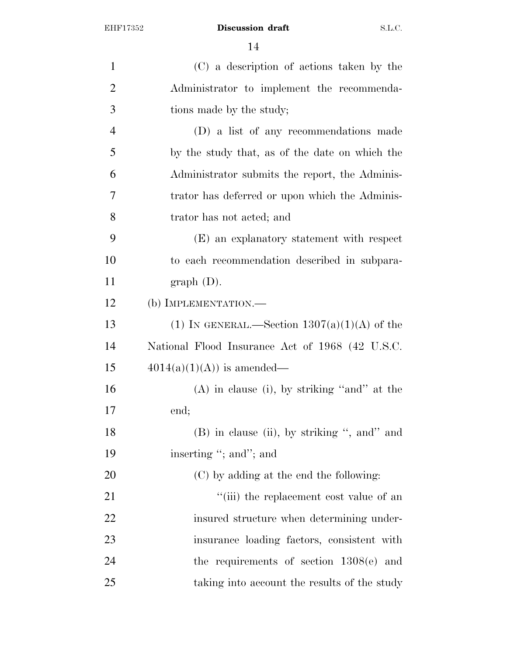| $\mathbf{1}$   | (C) a description of actions taken by the       |
|----------------|-------------------------------------------------|
| $\overline{2}$ | Administrator to implement the recommenda-      |
| 3              | tions made by the study;                        |
| $\overline{4}$ | (D) a list of any recommendations made          |
| 5              | by the study that, as of the date on which the  |
| 6              | Administrator submits the report, the Adminis-  |
| 7              | trator has deferred or upon which the Adminis-  |
| 8              | trator has not acted; and                       |
| 9              | (E) an explanatory statement with respect       |
| 10             | to each recommendation described in subpara-    |
| 11             | graph (D).                                      |
| 12             | (b) IMPLEMENTATION.—                            |
| 13             | (1) IN GENERAL.—Section $1307(a)(1)(A)$ of the  |
| 14             | National Flood Insurance Act of 1968 (42 U.S.C. |
| 15             | $4014(a)(1)(A)$ is amended—                     |
| 16             | $(A)$ in clause (i), by striking "and" at the   |
| 17             | end;                                            |
| 18             | $(B)$ in clause (ii), by striking ", and" and   |
| 19             | inserting "; and"; and                          |
| 20             | (C) by adding at the end the following:         |
| 21             | "(iii) the replacement cost value of an         |
| 22             | insured structure when determining under-       |
| 23             | insurance loading factors, consistent with      |
| 24             | the requirements of section $1308(e)$ and       |
| 25             | taking into account the results of the study    |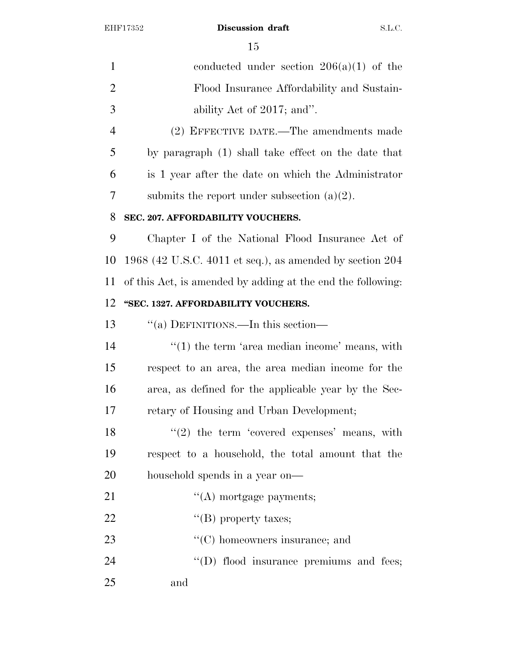| $\mathbf{1}$   | conducted under section $206(a)(1)$ of the                  |
|----------------|-------------------------------------------------------------|
| $\overline{2}$ | Flood Insurance Affordability and Sustain-                  |
| 3              | ability Act of 2017; and".                                  |
| $\overline{4}$ | (2) EFFECTIVE DATE.—The amendments made                     |
| 5              | by paragraph (1) shall take effect on the date that         |
| 6              | is 1 year after the date on which the Administrator         |
| 7              | submits the report under subsection $(a)(2)$ .              |
| 8              | SEC. 207. AFFORDABILITY VOUCHERS.                           |
| 9              | Chapter I of the National Flood Insurance Act of            |
| 10             | $1968$ (42 U.S.C. 4011 et seq.), as amended by section 204  |
| 11             | of this Act, is amended by adding at the end the following: |
| 12             | "SEC. 1327. AFFORDABILITY VOUCHERS.                         |
| 13             | "(a) DEFINITIONS.—In this section—                          |
| 14             | $f'(1)$ the term 'area median income' means, with           |
| 15             | respect to an area, the area median income for the          |
| 16             | area, as defined for the applicable year by the Sec-        |
| 17             | retary of Housing and Urban Development;                    |
| 18             | $(2)$ the term 'covered expenses' means, with               |
| 19             | respect to a household, the total amount that the           |
| 20             | household spends in a year on—                              |
| 21             | $\lq\lq$ mortgage payments;                                 |
| 22             | "(B) property taxes;                                        |
| 23             | "(C) homeowners insurance; and                              |
| 24             | "(D) flood insurance premiums and fees;                     |
| 25             | and                                                         |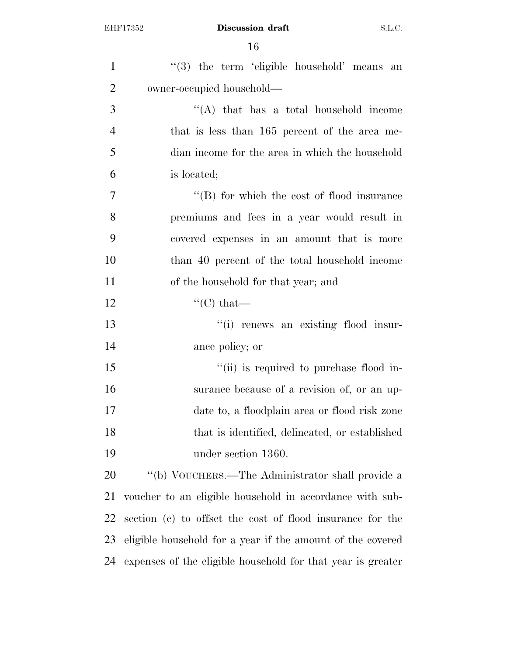| $\mathbf{1}$   | "(3) the term 'eligible household' means an                 |
|----------------|-------------------------------------------------------------|
| $\overline{2}$ | owner-occupied household—                                   |
| 3              | "(A) that has a total household income                      |
| $\overline{4}$ | that is less than 165 percent of the area me-               |
| 5              | dian income for the area in which the household             |
| 6              | is located;                                                 |
| 7              | $\lq\lq$ for which the cost of flood insurance              |
| 8              | premiums and fees in a year would result in                 |
| 9              | covered expenses in an amount that is more                  |
| 10             | than 40 percent of the total household income               |
| 11             | of the household for that year; and                         |
| 12             | $\lq\lq$ <sup>"</sup> (C) that—                             |
| 13             | "(i) renews an existing flood insur-                        |
| 14             | ance policy; or                                             |
| 15             | "(ii) is required to purchase flood in-                     |
| 16             | surance because of a revision of, or an up-                 |
| 17             | date to, a floodplain area or flood risk zone               |
| 18             | that is identified, delineated, or established              |
| 19             | under section 1360.                                         |
| 20             | "(b) VOUCHERS.—The Administrator shall provide a            |
| 21             | voucher to an eligible household in accordance with sub-    |
| 22             | section (c) to offset the cost of flood insurance for the   |
| 23             | eligible household for a year if the amount of the covered  |
| 24             | expenses of the eligible household for that year is greater |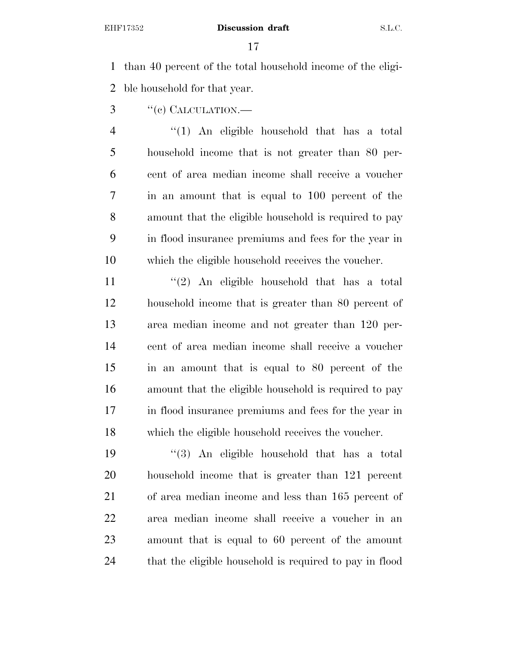than 40 percent of the total household income of the eligi-ble household for that year.

- 3 "(e) CALCULATION.—
- ''(1) An eligible household that has a total household income that is not greater than 80 per- cent of area median income shall receive a voucher in an amount that is equal to 100 percent of the amount that the eligible household is required to pay in flood insurance premiums and fees for the year in which the eligible household receives the voucher.

 $\frac{1}{2}$  An eligible household that has a total household income that is greater than 80 percent of area median income and not greater than 120 per- cent of area median income shall receive a voucher in an amount that is equal to 80 percent of the amount that the eligible household is required to pay in flood insurance premiums and fees for the year in which the eligible household receives the voucher.

 ''(3) An eligible household that has a total household income that is greater than 121 percent of area median income and less than 165 percent of area median income shall receive a voucher in an amount that is equal to 60 percent of the amount that the eligible household is required to pay in flood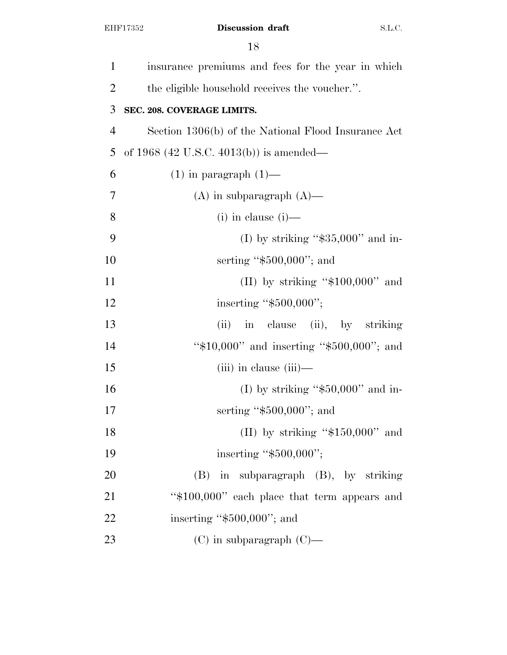| $\mathbf{1}$   | insurance premiums and fees for the year in which   |
|----------------|-----------------------------------------------------|
| $\overline{2}$ | the eligible household receives the voucher.".      |
| 3              | SEC. 208. COVERAGE LIMITS.                          |
| $\overline{4}$ | Section 1306(b) of the National Flood Insurance Act |
| 5              | of 1968 (42 U.S.C. 4013(b)) is amended—             |
| 6              | $(1)$ in paragraph $(1)$ —                          |
| 7              | $(A)$ in subparagraph $(A)$ —                       |
| 8              | $(i)$ in clause $(i)$ —                             |
| 9              | (I) by striking " $$35,000"$ and in-                |
| 10             | serting " $$500,000$ "; and                         |
| 11             | (II) by striking " $$100,000"$ and                  |
| 12             | inserting "\$500,000";                              |
| 13             | (ii) in clause (ii), by striking                    |
| 14             | " $$10,000"$ and inserting " $$500,000"$ ; and      |
| 15             | $(iii)$ in clause $(iii)$ —                         |
| 16             | (I) by striking " $$50,000"$ and in-                |
| 17             | serting " $$500,000$ "; and                         |
| 18             | (II) by striking " $$150,000"$ and                  |
| 19             | inserting " $$500,000$ ";                           |
| 20             | $(B)$ in subparagraph $(B)$ , by striking           |
| 21             | "\$100,000" each place that term appears and        |
| 22             | inserting " $$500,000$ "; and                       |
| 23             | $(C)$ in subparagraph $(C)$ —                       |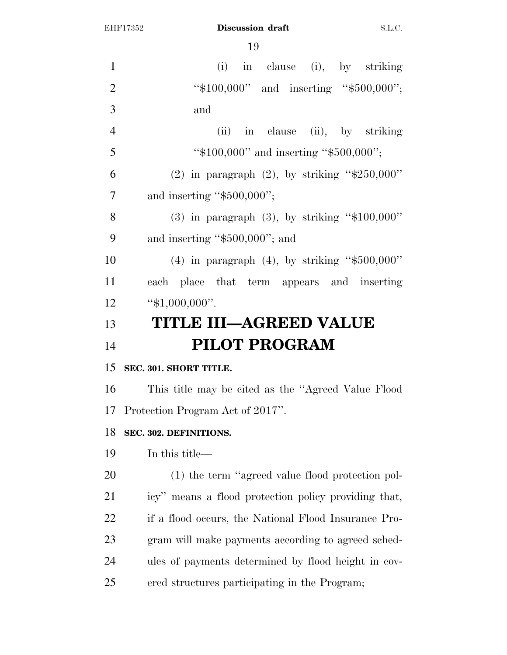| $\mathbf{1}$   | (i) in clause (i), by striking                       |
|----------------|------------------------------------------------------|
| $\overline{2}$ | " $$100,000"$ and inserting " $$500,000"$ ;          |
| 3              | and                                                  |
| $\overline{4}$ | (ii) in clause (ii), by striking                     |
| 5              | " $$100,000"$ and inserting " $$500,000"$ ;          |
| 6              | (2) in paragraph (2), by striking " $$250,000"$      |
| $\overline{7}$ | and inserting " $$500,000$ ";                        |
| 8              | $(3)$ in paragraph $(3)$ , by striking "\$100,000"   |
| 9              | and inserting " $$500,000$ "; and                    |
| 10             | (4) in paragraph (4), by striking " $$500,000"$      |
| 11             | each place that term appears and inserting           |
| 12             | " $$1,000,000$ ".                                    |
| 13             | <b>TITLE III-AGREED VALUE</b>                        |
| 14             | <b>PILOT PROGRAM</b>                                 |
| 15             | SEC. 301. SHORT TITLE.                               |
| 16             | This title may be cited as the "Agreed Value Flood"  |
|                | 17 Protection Program Act of 2017".                  |
| 18             | SEC. 302. DEFINITIONS.                               |
| 19             | In this title—                                       |
| 20             | (1) the term "agreed value flood protection pol-     |
| 21             | icy" means a flood protection policy providing that, |
| 22             | if a flood occurs, the National Flood Insurance Pro- |
| 23             | gram will make payments according to agreed sched-   |
| 24             | ules of payments determined by flood height in cov-  |
| 25             | ered structures participating in the Program;        |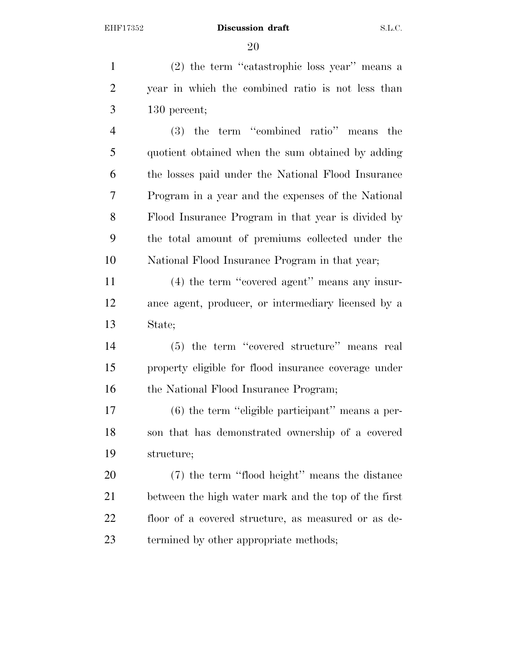(2) the term ''catastrophic loss year'' means a year in which the combined ratio is not less than 130 percent;

 (3) the term ''combined ratio'' means the quotient obtained when the sum obtained by adding the losses paid under the National Flood Insurance Program in a year and the expenses of the National Flood Insurance Program in that year is divided by the total amount of premiums collected under the National Flood Insurance Program in that year;

 (4) the term ''covered agent'' means any insur- ance agent, producer, or intermediary licensed by a State;

 (5) the term ''covered structure'' means real property eligible for flood insurance coverage under 16 the National Flood Insurance Program;

 (6) the term ''eligible participant'' means a per- son that has demonstrated ownership of a covered structure;

 (7) the term ''flood height'' means the distance between the high water mark and the top of the first floor of a covered structure, as measured or as de-termined by other appropriate methods;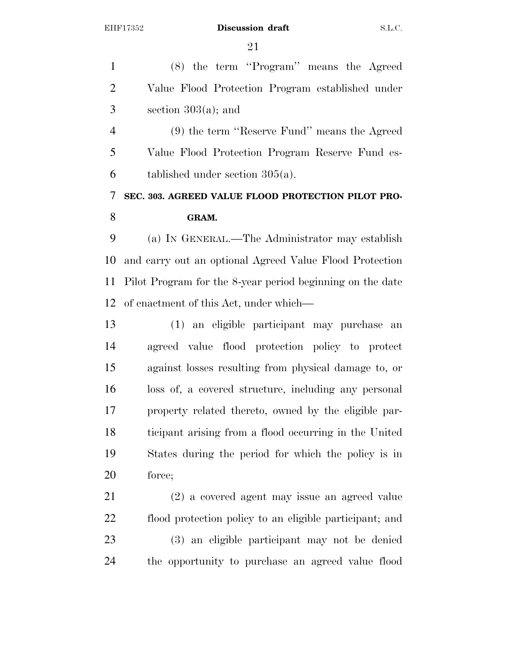(8) the term ''Program'' means the Agreed Value Flood Protection Program established under  $3 \qquad \text{section } 303(a); \text{ and}$ 

 (9) the term ''Reserve Fund'' means the Agreed Value Flood Protection Program Reserve Fund es-tablished under section 305(a).

# **SEC. 303. AGREED VALUE FLOOD PROTECTION PILOT PRO-GRAM.**

 (a) IN GENERAL.—The Administrator may establish and carry out an optional Agreed Value Flood Protection Pilot Program for the 8-year period beginning on the date of enactment of this Act, under which—

 (1) an eligible participant may purchase an agreed value flood protection policy to protect against losses resulting from physical damage to, or loss of, a covered structure, including any personal property related thereto, owned by the eligible par- ticipant arising from a flood occurring in the United States during the period for which the policy is in force;

 (2) a covered agent may issue an agreed value flood protection policy to an eligible participant; and (3) an eligible participant may not be denied the opportunity to purchase an agreed value flood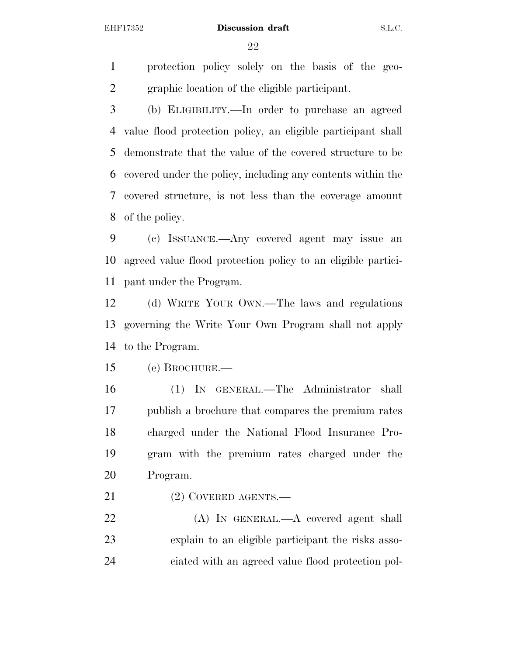protection policy solely on the basis of the geo-graphic location of the eligible participant.

 (b) ELIGIBILITY.—In order to purchase an agreed value flood protection policy, an eligible participant shall demonstrate that the value of the covered structure to be covered under the policy, including any contents within the covered structure, is not less than the coverage amount of the policy.

 (c) ISSUANCE.—Any covered agent may issue an agreed value flood protection policy to an eligible partici-pant under the Program.

 (d) WRITE YOUR OWN.—The laws and regulations governing the Write Your Own Program shall not apply to the Program.

(e) BROCHURE.—

 (1) IN GENERAL.—The Administrator shall publish a brochure that compares the premium rates charged under the National Flood Insurance Pro- gram with the premium rates charged under the Program.

21 (2) COVERED AGENTS.—

 (A) IN GENERAL.—A covered agent shall explain to an eligible participant the risks asso-ciated with an agreed value flood protection pol-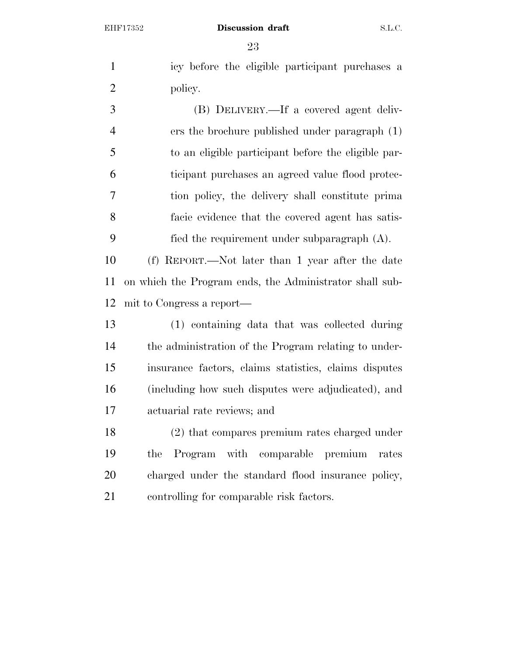icy before the eligible participant purchases a 2 policy.

 (B) DELIVERY.—If a covered agent deliv- ers the brochure published under paragraph (1) to an eligible participant before the eligible par- ticipant purchases an agreed value flood protec- tion policy, the delivery shall constitute prima facie evidence that the covered agent has satis-fied the requirement under subparagraph (A).

 (f) REPORT.—Not later than 1 year after the date on which the Program ends, the Administrator shall sub-mit to Congress a report—

 (1) containing data that was collected during the administration of the Program relating to under- insurance factors, claims statistics, claims disputes (including how such disputes were adjudicated), and actuarial rate reviews; and

 (2) that compares premium rates charged under the Program with comparable premium rates charged under the standard flood insurance policy, controlling for comparable risk factors.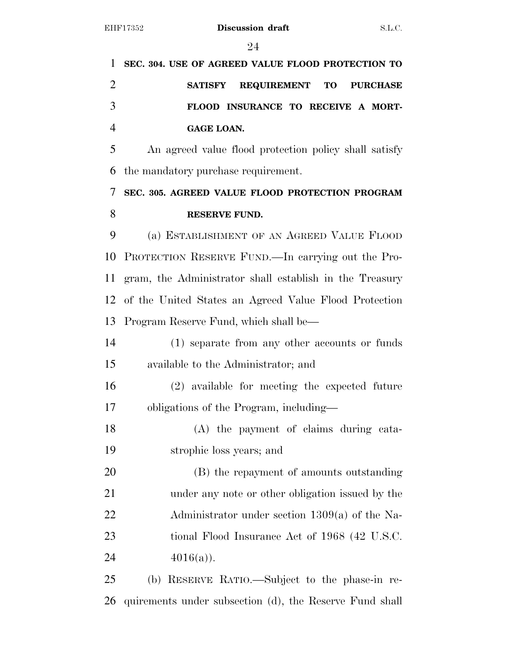| 1              | SEC. 304. USE OF AGREED VALUE FLOOD PROTECTION TO       |  |
|----------------|---------------------------------------------------------|--|
| $\overline{2}$ | REQUIREMENT TO<br><b>PURCHASE</b><br><b>SATISFY</b>     |  |
| 3              | FLOOD INSURANCE TO RECEIVE A MORT-                      |  |
| $\overline{4}$ | <b>GAGE LOAN.</b>                                       |  |
| 5              | An agreed value flood protection policy shall satisfy   |  |
| 6              | the mandatory purchase requirement.                     |  |
| 7              | SEC. 305. AGREED VALUE FLOOD PROTECTION PROGRAM         |  |
| 8              | <b>RESERVE FUND.</b>                                    |  |
| 9              | (a) ESTABLISHMENT OF AN AGREED VALUE FLOOD              |  |
| 10             | PROTECTION RESERVE FUND.—In carrying out the Pro-       |  |
| 11             | gram, the Administrator shall establish in the Treasury |  |
| 12             | of the United States an Agreed Value Flood Protection   |  |
| 13             | Program Reserve Fund, which shall be—                   |  |
| 14             | (1) separate from any other accounts or funds           |  |
| 15             | available to the Administrator; and                     |  |
| 16             | (2) available for meeting the expected future           |  |
| 17             | obligations of the Program, including—                  |  |
| 18             | (A) the payment of claims during cata-                  |  |
| 19             | strophic loss years; and                                |  |
| 20             | (B) the repayment of amounts outstanding                |  |
| 21             | under any note or other obligation issued by the        |  |
| 22             | Administrator under section $1309(a)$ of the Na-        |  |
| 23             | tional Flood Insurance Act of 1968 (42 U.S.C.           |  |
| 24             | $4016(a)$ ).                                            |  |
| 25             | (b) RESERVE RATIO.—Subject to the phase-in re-          |  |
| 26             | quirements under subsection (d), the Reserve Fund shall |  |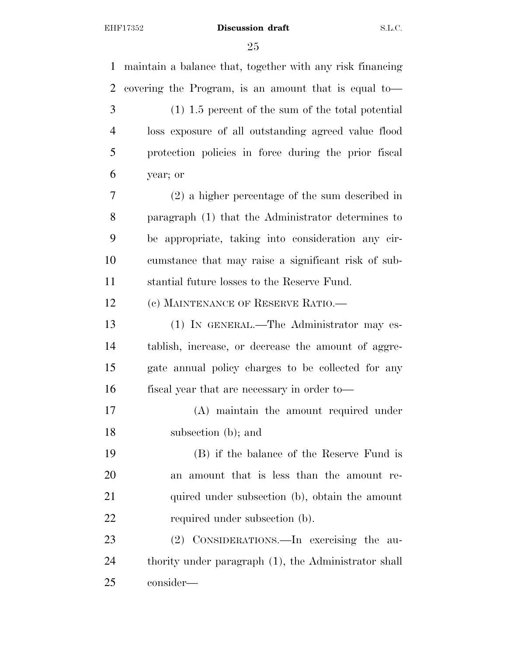maintain a balance that, together with any risk financing covering the Program, is an amount that is equal to— (1) 1.5 percent of the sum of the total potential loss exposure of all outstanding agreed value flood protection policies in force during the prior fiscal year; or (2) a higher percentage of the sum described in paragraph (1) that the Administrator determines to be appropriate, taking into consideration any cir- cumstance that may raise a significant risk of sub- stantial future losses to the Reserve Fund. 12 (c) MAINTENANCE OF RESERVE RATIO. (1) IN GENERAL.—The Administrator may es- tablish, increase, or decrease the amount of aggre- gate annual policy charges to be collected for any fiscal year that are necessary in order to— (A) maintain the amount required under subsection (b); and (B) if the balance of the Reserve Fund is an amount that is less than the amount re-21 quired under subsection (b), obtain the amount 22 required under subsection (b). (2) CONSIDERATIONS.—In exercising the au- thority under paragraph (1), the Administrator shall consider—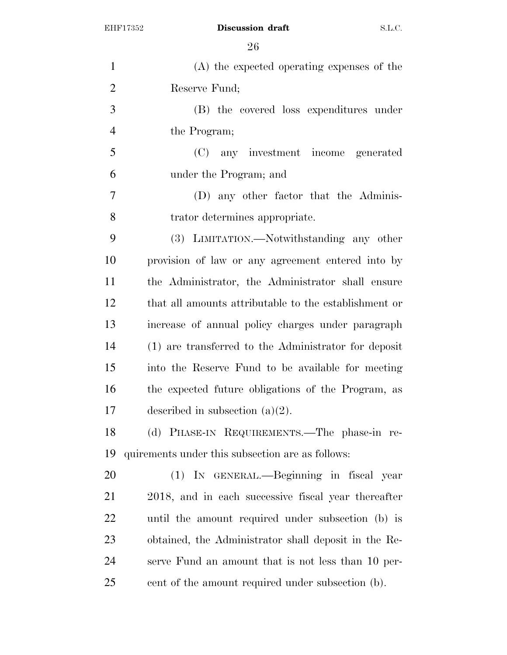| $\mathbf{1}$   | (A) the expected operating expenses of the            |
|----------------|-------------------------------------------------------|
| $\overline{2}$ | Reserve Fund;                                         |
| 3              | (B) the covered loss expenditures under               |
| $\overline{4}$ | the Program;                                          |
| 5              | (C) any investment income generated                   |
| 6              | under the Program; and                                |
| $\overline{7}$ | (D) any other factor that the Adminis-                |
| 8              | trator determines appropriate.                        |
| 9              | (3) LIMITATION.—Notwithstanding any other             |
| 10             | provision of law or any agreement entered into by     |
| 11             | the Administrator, the Administrator shall ensure     |
| 12             | that all amounts attributable to the establishment or |
| 13             | increase of annual policy charges under paragraph     |
| 14             | (1) are transferred to the Administrator for deposit  |
| 15             | into the Reserve Fund to be available for meeting     |
| 16             | the expected future obligations of the Program, as    |
| 17             | described in subsection $(a)(2)$ .                    |
| 18             | (d) PHASE-IN REQUIREMENTS.—The phase-in re-           |
| 19             | quirements under this subsection are as follows:      |
| 20             | (1) IN GENERAL.—Beginning in fiscal year              |
| 21             | 2018, and in each successive fiscal year thereafter   |
| 22             | until the amount required under subsection (b) is     |
| 23             | obtained, the Administrator shall deposit in the Re-  |
| 24             | serve Fund an amount that is not less than 10 per-    |
| 25             | cent of the amount required under subsection (b).     |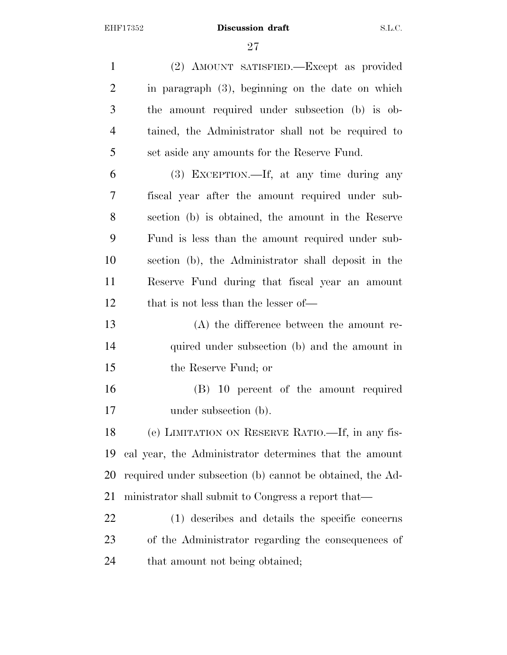(2) AMOUNT SATISFIED.—Except as provided in paragraph (3), beginning on the date on which the amount required under subsection (b) is ob- tained, the Administrator shall not be required to set aside any amounts for the Reserve Fund. (3) EXCEPTION.—If, at any time during any fiscal year after the amount required under sub- section (b) is obtained, the amount in the Reserve Fund is less than the amount required under sub- section (b), the Administrator shall deposit in the Reserve Fund during that fiscal year an amount 12 that is not less than the lesser of— (A) the difference between the amount re-14 quired under subsection (b) and the amount in the Reserve Fund; or (B) 10 percent of the amount required under subsection (b). (e) LIMITATION ON RESERVE RATIO.—If, in any fis- cal year, the Administrator determines that the amount required under subsection (b) cannot be obtained, the Ad- ministrator shall submit to Congress a report that— (1) describes and details the specific concerns of the Administrator regarding the consequences of that amount not being obtained;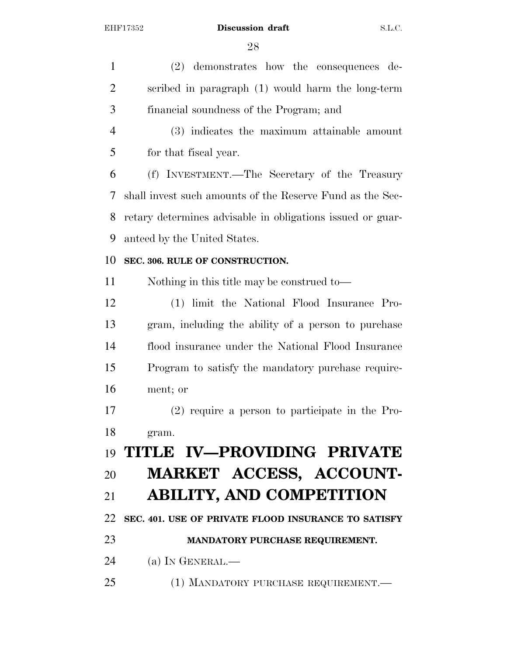(2) demonstrates how the consequences de- scribed in paragraph (1) would harm the long-term financial soundness of the Program; and (3) indicates the maximum attainable amount for that fiscal year. (f) INVESTMENT.—The Secretary of the Treasury shall invest such amounts of the Reserve Fund as the Sec- retary determines advisable in obligations issued or guar- anteed by the United States. **SEC. 306. RULE OF CONSTRUCTION.**  Nothing in this title may be construed to— (1) limit the National Flood Insurance Pro- gram, including the ability of a person to purchase flood insurance under the National Flood Insurance Program to satisfy the mandatory purchase require- ment; or (2) require a person to participate in the Pro- gram. **TITLE IV—PROVIDING PRIVATE MARKET ACCESS, ACCOUNT- ABILITY, AND COMPETITION SEC. 401. USE OF PRIVATE FLOOD INSURANCE TO SATISFY MANDATORY PURCHASE REQUIREMENT.**  (a) IN GENERAL.— (1) MANDATORY PURCHASE REQUIREMENT.—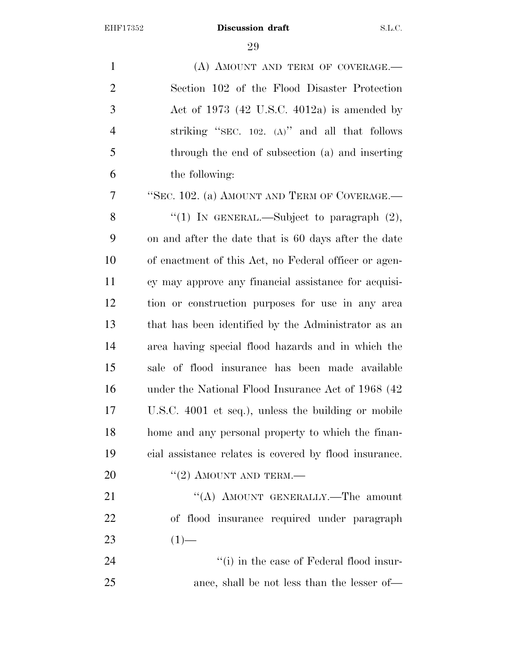1 (A) AMOUNT AND TERM OF COVERAGE. Section 102 of the Flood Disaster Protection Act of 1973 (42 U.S.C. 4012a) is amended by striking ''SEC. 102. (A)'' and all that follows through the end of subsection (a) and inserting the following:

 ''SEC. 102. (a) AMOUNT AND TERM OF COVERAGE.— 8 "(1) In GENERAL.—Subject to paragraph  $(2)$ , on and after the date that is 60 days after the date of enactment of this Act, no Federal officer or agen- cy may approve any financial assistance for acquisi- tion or construction purposes for use in any area that has been identified by the Administrator as an area having special flood hazards and in which the sale of flood insurance has been made available under the National Flood Insurance Act of 1968 (42 U.S.C. 4001 et seq.), unless the building or mobile home and any personal property to which the finan-cial assistance relates is covered by flood insurance.

20  $((2)$  AMOUNT AND TERM.—

21 "(A) AMOUNT GENERALLY.—The amount of flood insurance required under paragraph 23  $(1)$ —

24 ''(i) in the case of Federal flood insur-ance, shall be not less than the lesser of—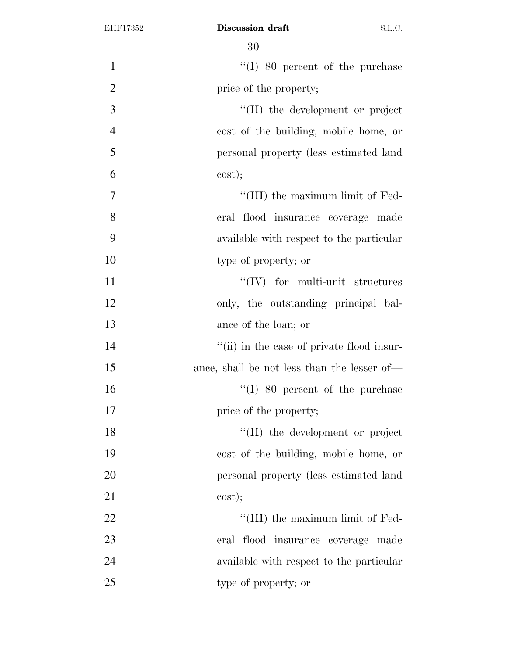| $\mathbf{1}$   | $\lq\lq (I)$ 80 percent of the purchase     |
|----------------|---------------------------------------------|
| $\overline{2}$ | price of the property;                      |
| 3              | $\lq\lq$ (II) the development or project    |
| $\overline{4}$ | cost of the building, mobile home, or       |
| 5              | personal property (less estimated land      |
| 6              | cost);                                      |
| 7              | "(III) the maximum limit of Fed-            |
| 8              | eral flood insurance coverage made          |
| 9              | available with respect to the particular    |
| 10             | type of property; or                        |
| 11             | $``(IV)$ for multi-unit structures          |
| 12             | only, the outstanding principal bal-        |
| 13             | ance of the loan; or                        |
| 14             | "(ii) in the case of private flood insur-   |
| 15             | ance, shall be not less than the lesser of— |
| 16             | $\lq (I)$ 80 percent of the purchase        |
| 17             | price of the property;                      |
| 18             | $\lq\lq$ (II) the development or project    |
| 19             | cost of the building, mobile home, or       |
| 20             | personal property (less estimated land      |
| 21             | cost);                                      |
| 22             | "(III) the maximum limit of Fed-            |
| 23             | eral flood insurance coverage made          |
| 24             | available with respect to the particular    |
| 25             | type of property; or                        |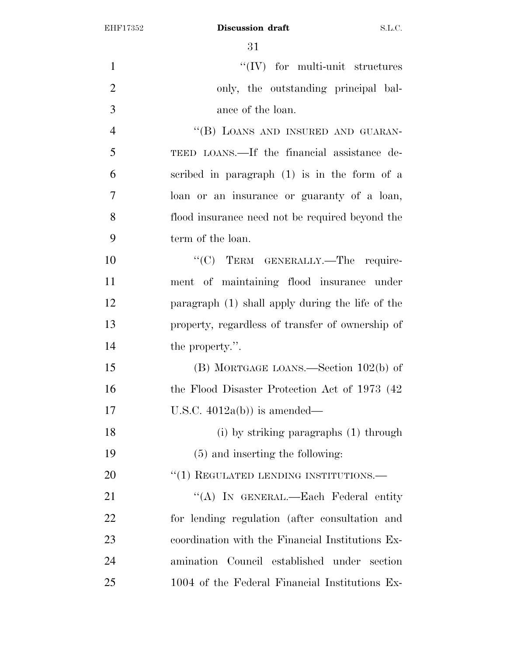| $\mathbf{1}$   | $\lq\lq (IV)$ for multi-unit structures          |
|----------------|--------------------------------------------------|
| $\overline{2}$ | only, the outstanding principal bal-             |
| 3              | ance of the loan.                                |
| $\overline{4}$ | "(B) LOANS AND INSURED AND GUARAN-               |
| 5              | TEED LOANS.—If the financial assistance de-      |
| 6              | scribed in paragraph $(1)$ is in the form of a   |
| 7              | loan or an insurance or guaranty of a loan,      |
| 8              | flood insurance need not be required beyond the  |
| 9              | term of the loan.                                |
| 10             | "(C) TERM GENERALLY.-The require-                |
| 11             | ment of maintaining flood insurance under        |
| 12             | paragraph (1) shall apply during the life of the |
| 13             | property, regardless of transfer of ownership of |
| 14             | the property.".                                  |
| 15             | $(B)$ MORTGAGE LOANS.—Section 102(b) of          |
| 16             | the Flood Disaster Protection Act of 1973 (42)   |
| 17             | U.S.C. $4012a(b)$ is amended—                    |
| 18             | (i) by striking paragraphs (1) through           |
| 19             | $(5)$ and inserting the following:               |
| 20             | $``(1)$ REGULATED LENDING INSTITUTIONS.—         |
| 21             | "(A) IN GENERAL.—Each Federal entity             |
| 22             | for lending regulation (after consultation and   |
| 23             | coordination with the Financial Institutions Ex- |
| 24             | amination Council established under section      |
| 25             | 1004 of the Federal Financial Institutions Ex-   |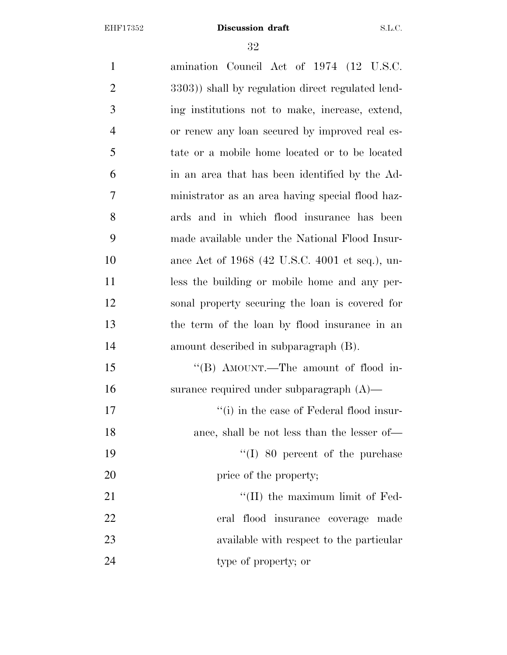amination Council Act of 1974 (12 U.S.C. 2 3303) shall by regulation direct regulated lend- ing institutions not to make, increase, extend, or renew any loan secured by improved real es- tate or a mobile home located or to be located in an area that has been identified by the Ad- ministrator as an area having special flood haz- ards and in which flood insurance has been made available under the National Flood Insur- ance Act of 1968 (42 U.S.C. 4001 et seq.), un-11 less the building or mobile home and any per- sonal property securing the loan is covered for the term of the loan by flood insurance in an amount described in subparagraph (B). 15 "(B) AMOUNT.—The amount of flood in- surance required under subparagraph (A)— 17 ''(i) in the case of Federal flood insur-18 ance, shall be not less than the lesser of— 19 ''(I) 80 percent of the purchase 20 price of the property; 21 ''(II) the maximum limit of Fed- eral flood insurance coverage made available with respect to the particular type of property; or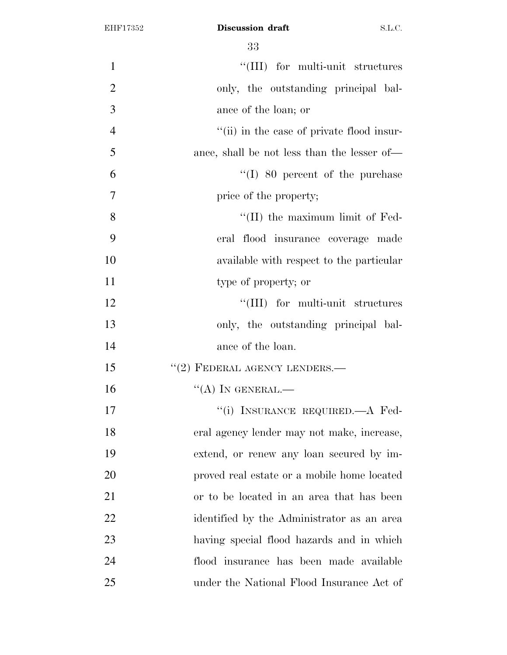| $\mathbf{1}$   | "(III) for multi-unit structures            |
|----------------|---------------------------------------------|
| $\overline{2}$ | only, the outstanding principal bal-        |
| 3              | ance of the loan; or                        |
| $\overline{4}$ | "(ii) in the case of private flood insur-   |
| 5              | ance, shall be not less than the lesser of— |
| 6              | $\lq (I)$ 80 percent of the purchase        |
| 7              | price of the property;                      |
| 8              | $\lq\lq$ (II) the maximum limit of Fed-     |
| 9              | eral flood insurance coverage made          |
| 10             | available with respect to the particular    |
| 11             | type of property; or                        |
| 12             | "(III) for multi-unit structures            |
| 13             | only, the outstanding principal bal-        |
| 14             | ance of the loan.                           |
| 15             | $``(2)$ FEDERAL AGENCY LENDERS.—            |
| 16             | $\lq\lq (A)$ In GENERAL.—                   |
| 17             | "(i) INSURANCE REQUIRED.—A Fed-             |
| 18             | eral agency lender may not make, increase,  |
| 19             | extend, or renew any loan secured by im-    |
| 20             | proved real estate or a mobile home located |
| 21             | or to be located in an area that has been   |
| 22             | identified by the Administrator as an area  |
| 23             | having special flood hazards and in which   |
| 24             | flood insurance has been made available     |
| 25             | under the National Flood Insurance Act of   |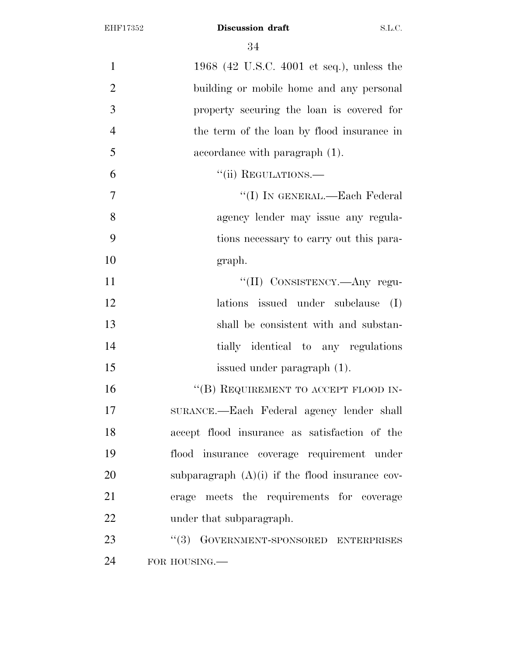| $\mathbf{1}$   | 1968 (42 U.S.C. 4001 et seq.), unless the         |
|----------------|---------------------------------------------------|
| $\overline{2}$ | building or mobile home and any personal          |
| 3              | property securing the loan is covered for         |
| $\overline{4}$ | the term of the loan by flood insurance in        |
| 5              | accordance with paragraph (1).                    |
| 6              | "(ii) REGULATIONS.-                               |
| $\overline{7}$ | "(I) IN GENERAL.—Each Federal                     |
| 8              | agency lender may issue any regula-               |
| 9              | tions necessary to carry out this para-           |
| 10             | graph.                                            |
| 11             | "(II) CONSISTENCY.—Any regu-                      |
| 12             | lations issued under subclause<br>(I)             |
| 13             | shall be consistent with and substan-             |
| 14             | tially identical to any regulations               |
| 15             | issued under paragraph (1).                       |
| 16             | "(B) REQUIREMENT TO ACCEPT FLOOD IN-              |
| 17             | SURANCE.—Each Federal agency lender shall         |
| 18             | accept flood insurance as satisfaction of the     |
| 19             | flood insurance coverage requirement under        |
| 20             | subparagraph $(A)(i)$ if the flood insurance cov- |
| 21             | erage meets the requirements for coverage         |
| 22             | under that subparagraph.                          |
| 23             | GOVERNMENT-SPONSORED ENTERPRISES<br>(3)           |
| 24             | FOR HOUSING.                                      |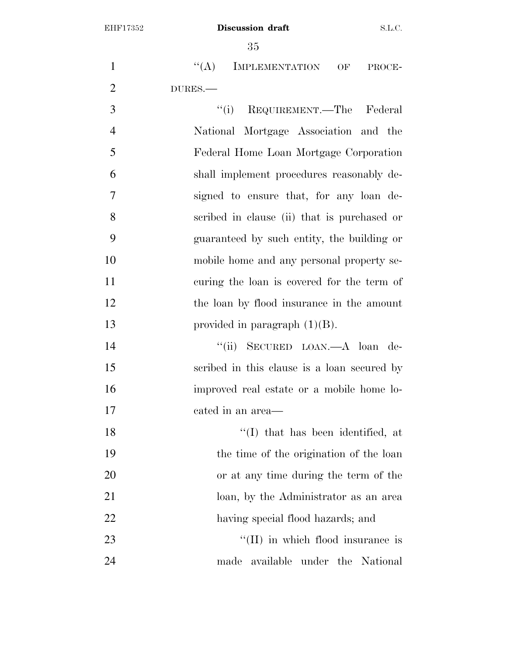| $\mathbf{1}$   | ``(A)<br>IMPLEMENTATION OF<br>PROCE-        |
|----------------|---------------------------------------------|
| $\overline{2}$ | DURES.-                                     |
| 3              | "(i) REQUIREMENT.—The Federal               |
| $\overline{4}$ | National Mortgage Association and the       |
| 5              | Federal Home Loan Mortgage Corporation      |
| 6              | shall implement procedures reasonably de-   |
| 7              | signed to ensure that, for any loan de-     |
| 8              | scribed in clause (ii) that is purchased or |
| 9              | guaranteed by such entity, the building or  |
| 10             | mobile home and any personal property se-   |
| 11             | curing the loan is covered for the term of  |
| 12             | the loan by flood insurance in the amount   |
| 13             | provided in paragraph $(1)(B)$ .            |
| 14             | "(ii) SECURED LOAN.—A loan de-              |
| 15             | scribed in this clause is a loan secured by |
| 16             | improved real estate or a mobile home lo-   |
| 17             | cated in an area—                           |
| 18             | "(I) that has been identified, at           |
| 19             | the time of the origination of the loan     |
| 20             | or at any time during the term of the       |
| 21             | loan, by the Administrator as an area       |
| 22             | having special flood hazards; and           |

23 ''(II) in which flood insurance is made available under the National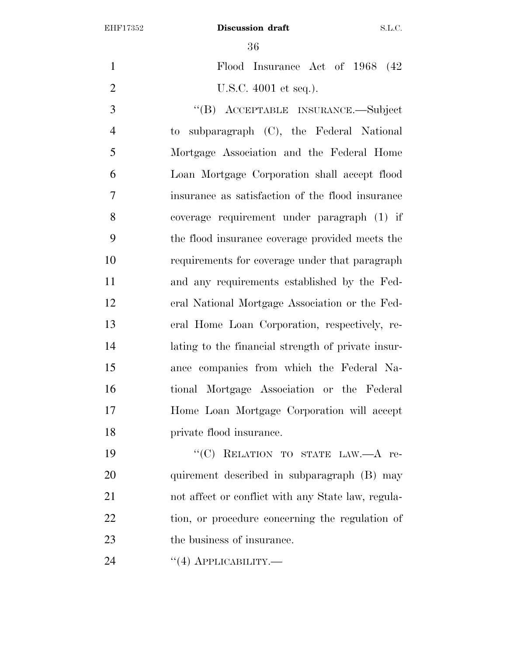$\Omega$ 

| 36                                                  |
|-----------------------------------------------------|
| Flood Insurance Act of 1968<br>(42)                 |
| U.S.C. 4001 et seq.).                               |
| "(B) ACCEPTABLE INSURANCE.—Subject                  |
| subparagraph (C), the Federal National<br>$\rm{to}$ |
| Mortgage Association and the Federal Home           |
| Loan Mortgage Corporation shall accept flood        |
| insurance as satisfaction of the flood insurance    |
| coverage requirement under paragraph (1) if         |
| the flood insurance coverage provided meets the     |
| requirements for coverage under that paragraph      |
| and any requirements established by the Fed-        |
| eral National Mortgage Association or the Fed-      |
| eral Home Loan Corporation, respectively, re-       |
| lating to the financial strength of private insur-  |
| ance companies from which the Federal Na-           |
| tional Mortgage Association or the Federal          |
| Home Loan Mortgage Corporation will accept          |
| private flood insurance.                            |
| "(C) RELATION TO STATE LAW.-A re-                   |
| quirement described in subparagraph (B) may         |
| not affect or conflict with any State law, regula-  |
|                                                     |

tion, or procedure concerning the regulation of

- the business of insurance.
- 24 "(4) АРРЫСАВІ<br/>ыту.—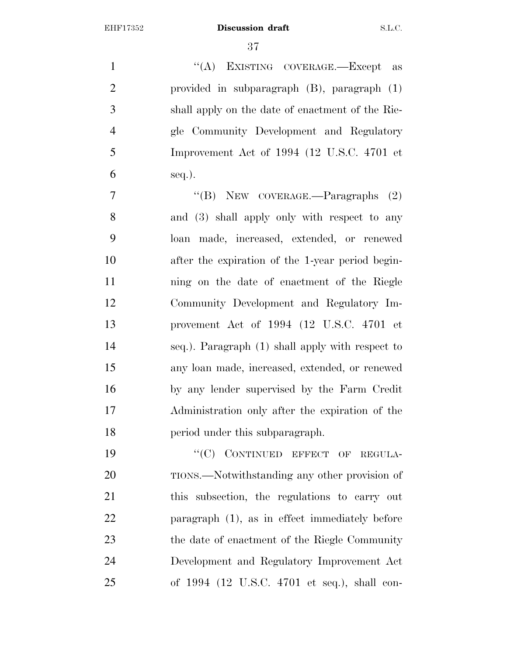1 "(A) EXISTING COVERAGE.—Except as provided in subparagraph (B), paragraph (1) shall apply on the date of enactment of the Rie- gle Community Development and Regulatory Improvement Act of 1994 (12 U.S.C. 4701 et  $\epsilon$  seq.).

7 "'(B) NEW COVERAGE.—Paragraphs (2) and (3) shall apply only with respect to any loan made, increased, extended, or renewed after the expiration of the 1-year period begin- ning on the date of enactment of the Riegle Community Development and Regulatory Im- provement Act of 1994 (12 U.S.C. 4701 et seq.). Paragraph (1) shall apply with respect to any loan made, increased, extended, or renewed by any lender supervised by the Farm Credit Administration only after the expiration of the period under this subparagraph.

19 "'(C) CONTINUED EFFECT OF REGULA- TIONS.—Notwithstanding any other provision of this subsection, the regulations to carry out paragraph (1), as in effect immediately before the date of enactment of the Riegle Community Development and Regulatory Improvement Act of 1994 (12 U.S.C. 4701 et seq.), shall con-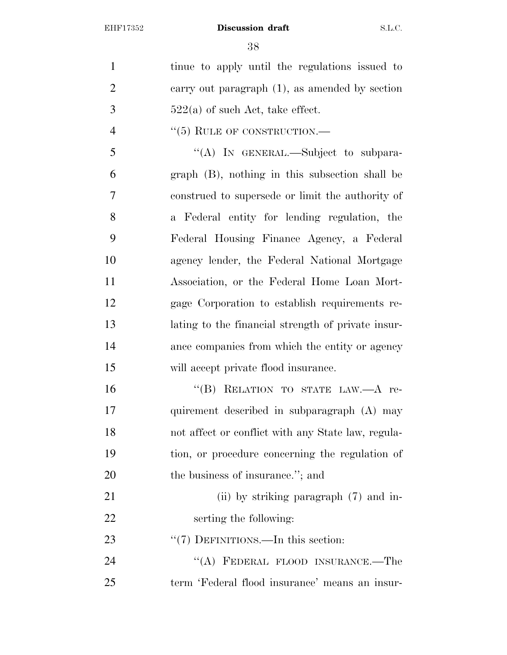tinue to apply until the regulations issued to carry out paragraph (1), as amended by section  $3 \t 522(a)$  of such Act, take effect.

4  $``(5)$  RULE OF CONSTRUCTION.—

 ''(A) IN GENERAL.—Subject to subpara- graph (B), nothing in this subsection shall be construed to supersede or limit the authority of a Federal entity for lending regulation, the Federal Housing Finance Agency, a Federal agency lender, the Federal National Mortgage Association, or the Federal Home Loan Mort- gage Corporation to establish requirements re- lating to the financial strength of private insur- ance companies from which the entity or agency will accept private flood insurance.

16 "(B) RELATION TO STATE LAW.—A re- quirement described in subparagraph (A) may not affect or conflict with any State law, regula- tion, or procedure concerning the regulation of 20 the business of insurance."; and

- 21 (ii) by striking paragraph (7) and in-serting the following:
- 23 "'(7) DEFINITIONS.—In this section:

24 "(A) FEDERAL FLOOD INSURANCE.—The term 'Federal flood insurance' means an insur-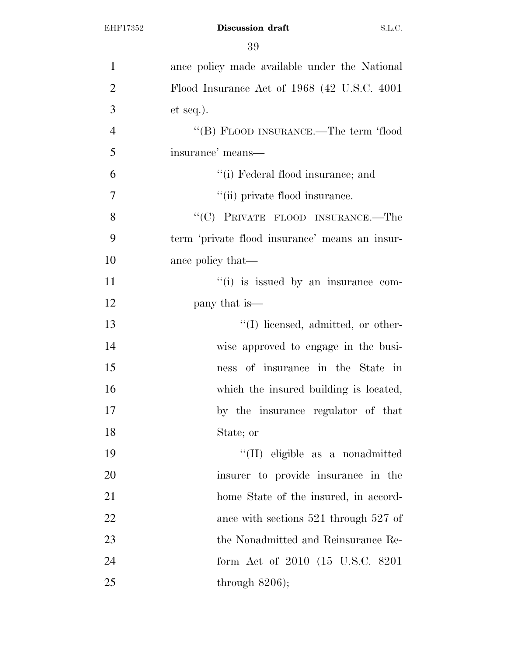| $\mathbf{1}$   | ance policy made available under the National  |
|----------------|------------------------------------------------|
| $\overline{2}$ | Flood Insurance Act of 1968 (42 U.S.C. 4001)   |
| 3              | $et seq.$ ).                                   |
| $\overline{4}$ | "(B) FLOOD INSURANCE.—The term 'flood          |
| 5              | insurance' means—                              |
| 6              | "(i) Federal flood insurance; and              |
| $\overline{7}$ | "(ii) private flood insurance.                 |
| 8              | "(C) PRIVATE FLOOD INSURANCE.—The              |
| 9              | term 'private flood insurance' means an insur- |
| 10             | ance policy that—                              |
| 11             | $f'(i)$ is issued by an insurance com-         |
| 12             | pany that is—                                  |
| 13             | $\lq\lq$ . I licensed, admitted, or other-     |
| 14             | wise approved to engage in the busi-           |
| 15             | ness of insurance in the State in              |
| 16             | which the insured building is located,         |
| 17             | by the insurance regulator of that             |
| 18             | State; or                                      |
| 19             | "(II) eligible as a nonadmitted                |
| 20             | insurer to provide insurance in the            |
| 21             | home State of the insured, in accord-          |
| 22             | ance with sections $521$ through $527$ of      |
| 23             | the Nonadmitted and Reinsurance Re-            |
| 24             | form Act of 2010 (15 U.S.C. 8201)              |
| 25             | through $8206$ );                              |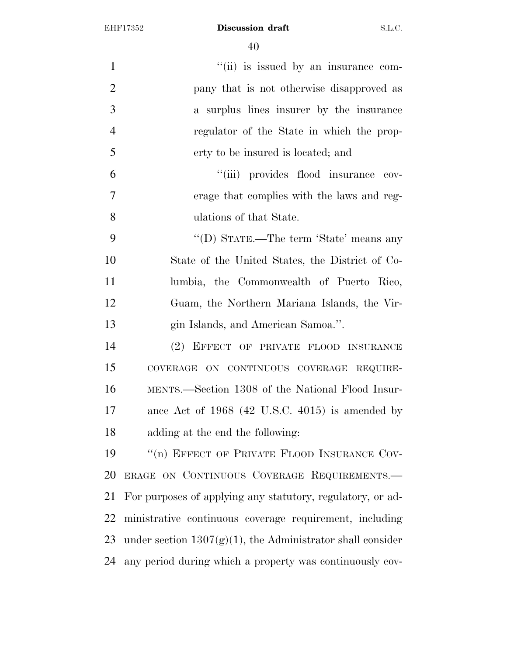| 1              | "(ii) is issued by an insurance com-                          |
|----------------|---------------------------------------------------------------|
| $\overline{2}$ | pany that is not otherwise disapproved as                     |
| 3              | a surplus lines insurer by the insurance                      |
| $\overline{4}$ | regulator of the State in which the prop-                     |
| 5              | erty to be insured is located; and                            |
| 6              | "(iii) provides flood insurance cov-                          |
| 7              | erage that complies with the laws and reg-                    |
| 8              | ulations of that State.                                       |
| 9              | "(D) STATE.—The term 'State' means any                        |
| 10             | State of the United States, the District of Co-               |
| 11             | lumbia, the Commonwealth of Puerto Rico,                      |
| 12             | Guam, the Northern Mariana Islands, the Vir-                  |
| 13             | gin Islands, and American Samoa.".                            |
| 14             | (2) EFFECT OF PRIVATE FLOOD INSURANCE                         |
| 15             | COVERAGE ON CONTINUOUS COVERAGE REQUIRE-                      |
| 16             | MENTS.—Section 1308 of the National Flood Insur-              |
| 17             | ance Act of $1968$ (42 U.S.C. 4015) is amended by             |
| 18             | adding at the end the following:                              |
| 19             | "(n) EFFECT OF PRIVATE FLOOD INSURANCE COV-                   |
| 20             | ERAGE ON CONTINUOUS COVERAGE REQUIREMENTS.                    |
| 21             | For purposes of applying any statutory, regulatory, or ad-    |
| 22             | ministrative continuous coverage requirement, including       |
| 23             | under section $1307(g)(1)$ , the Administrator shall consider |
| 24             | any period during which a property was continuously cov-      |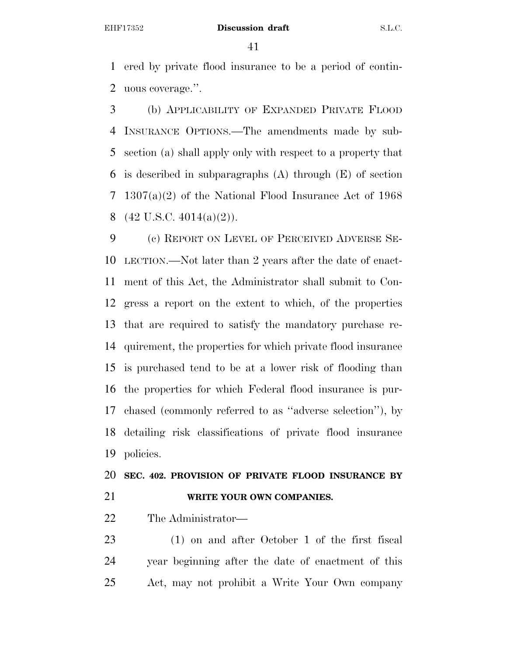ered by private flood insurance to be a period of contin-uous coverage.''.

 (b) APPLICABILITY OF EXPANDED PRIVATE FLOOD INSURANCE OPTIONS.—The amendments made by sub- section (a) shall apply only with respect to a property that is described in subparagraphs (A) through (E) of section 1307(a)(2) of the National Flood Insurance Act of 1968  $(42 \text{ U.S.C. } 4014(a)(2))$ .

 (c) REPORT ON LEVEL OF PERCEIVED ADVERSE SE- LECTION.—Not later than 2 years after the date of enact- ment of this Act, the Administrator shall submit to Con- gress a report on the extent to which, of the properties that are required to satisfy the mandatory purchase re- quirement, the properties for which private flood insurance is purchased tend to be at a lower risk of flooding than the properties for which Federal flood insurance is pur- chased (commonly referred to as ''adverse selection''), by detailing risk classifications of private flood insurance policies.

 **SEC. 402. PROVISION OF PRIVATE FLOOD INSURANCE BY WRITE YOUR OWN COMPANIES.** 

The Administrator—

 (1) on and after October 1 of the first fiscal year beginning after the date of enactment of this Act, may not prohibit a Write Your Own company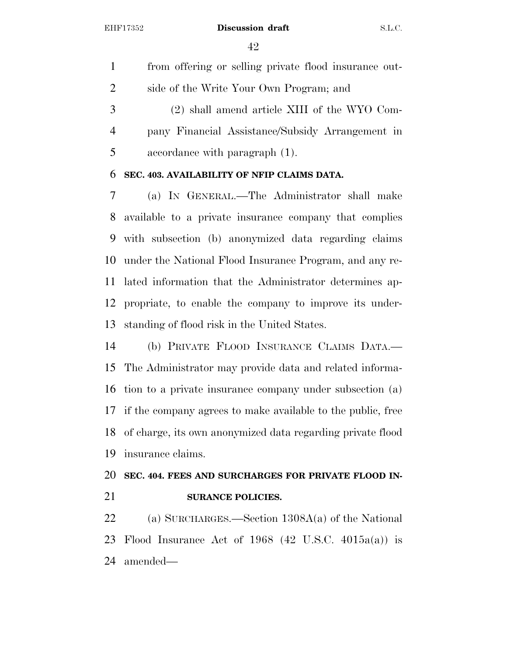from offering or selling private flood insurance out- side of the Write Your Own Program; and (2) shall amend article XIII of the WYO Com- pany Financial Assistance/Subsidy Arrangement in accordance with paragraph (1).

#### **SEC. 403. AVAILABILITY OF NFIP CLAIMS DATA.**

 (a) IN GENERAL.—The Administrator shall make available to a private insurance company that complies with subsection (b) anonymized data regarding claims under the National Flood Insurance Program, and any re- lated information that the Administrator determines ap- propriate, to enable the company to improve its under-standing of flood risk in the United States.

 (b) PRIVATE FLOOD INSURANCE CLAIMS DATA.— The Administrator may provide data and related informa- tion to a private insurance company under subsection (a) if the company agrees to make available to the public, free of charge, its own anonymized data regarding private flood insurance claims.

# **SEC. 404. FEES AND SURCHARGES FOR PRIVATE FLOOD IN-SURANCE POLICIES.**

 (a) SURCHARGES.—Section 1308A(a) of the National Flood Insurance Act of 1968 (42 U.S.C. 4015a(a)) is amended—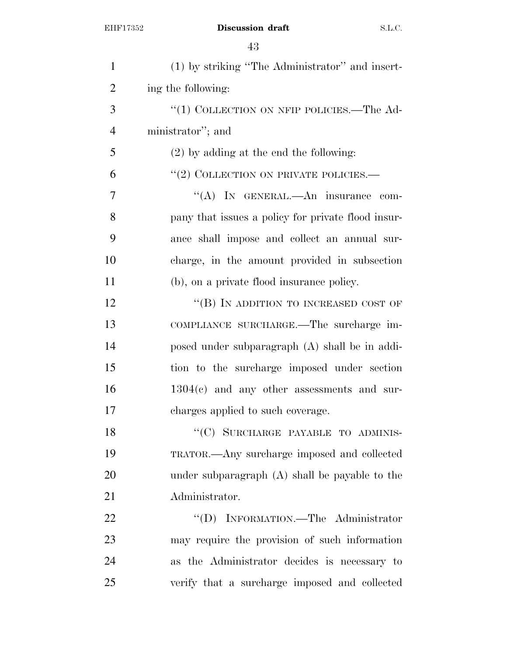| $\mathbf{1}$   | (1) by striking "The Administrator" and insert-    |
|----------------|----------------------------------------------------|
| $\overline{2}$ | ing the following:                                 |
| 3              | "(1) COLLECTION ON NFIP POLICIES.—The Ad-          |
| $\overline{4}$ | ministrator"; and                                  |
| 5              | $(2)$ by adding at the end the following:          |
| 6              | $``(2)$ COLLECTION ON PRIVATE POLICIES.—           |
| 7              | "(A) IN GENERAL.—An insurance com-                 |
| 8              | pany that issues a policy for private flood insur- |
| 9              | ance shall impose and collect an annual sur-       |
| 10             | charge, in the amount provided in subsection       |
| 11             | (b), on a private flood insurance policy.          |
| 12             | "(B) IN ADDITION TO INCREASED COST OF              |
| 13             | COMPLIANCE SURCHARGE.-The surcharge im-            |
| 14             | posed under subparagraph (A) shall be in addi-     |
| 15             | tion to the surcharge imposed under section        |
| 16             | $1304(e)$ and any other assessments and sur-       |
| 17             | charges applied to such coverage.                  |
| 18             | "(C) SURCHARGE PAYABLE TO ADMINIS-                 |
| 19             | TRATOR.—Any surcharge imposed and collected        |
| 20             | under subparagraph $(A)$ shall be payable to the   |
| 21             | Administrator.                                     |
| 22             | "(D) INFORMATION.—The Administrator                |
| 23             | may require the provision of such information      |
| 24             | as the Administrator decides is necessary to       |
| 25             | verify that a surcharge imposed and collected      |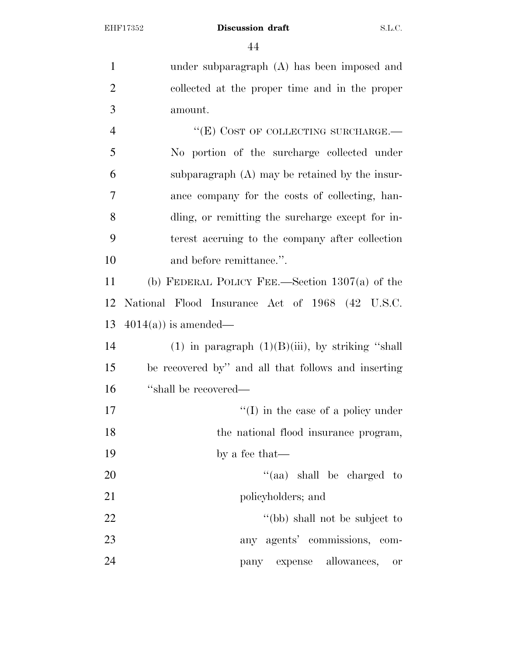under subparagraph (A) has been imposed and collected at the proper time and in the proper amount. 4 "(E) COST OF COLLECTING SURCHARGE. No portion of the surcharge collected under subparagraph (A) may be retained by the insur- ance company for the costs of collecting, han- dling, or remitting the surcharge except for in- terest accruing to the company after collection 10 and before remittance.". (b) FEDERAL POLICY FEE.—Section 1307(a) of the National Flood Insurance Act of 1968 (42 U.S.C. 4014(a)) is amended— 14 (1) in paragraph  $(1)(B)(iii)$ , by striking "shall be recovered by'' and all that follows and inserting

16 "shall be recovered— 17  $\text{``(I)}$  in the case of a policy under

18 the national flood insurance program,

by a fee that—

20  $\frac{1}{20}$  and  $\frac{1}{20}$  shall be charged to 21 policyholders; and

22 ''(bb) shall not be subject to any agents' commissions, com-pany expense allowances, or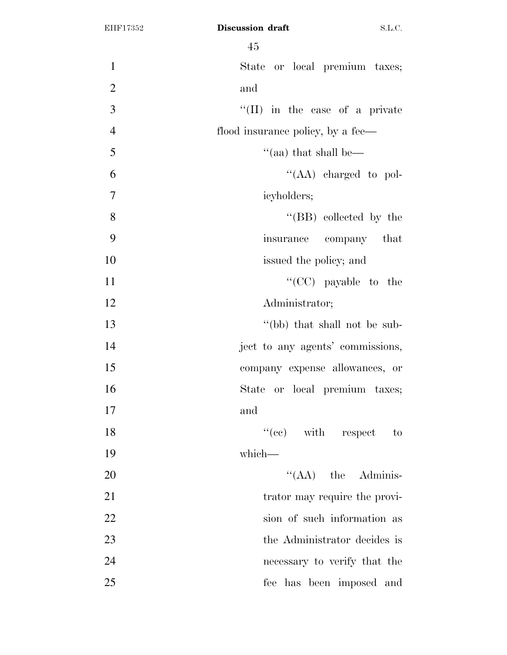|                | ŦЭ                                     |
|----------------|----------------------------------------|
| $\mathbf{1}$   | State or local premium taxes;          |
| $\overline{2}$ | and                                    |
| $\mathfrak{Z}$ | $\lq\lq$ (II) in the case of a private |
| $\overline{4}$ | flood insurance policy, by a fee—      |
| 5              | "(aa) that shall be—                   |
| 6              | "(AA) charged to pol-                  |
| $\tau$         | icyholders;                            |
| 8              | $\lq\lq$ (BB) collected by the         |
| 9              | insurance company that                 |
| 10             | issued the policy; and                 |
| 11             | "(CC) payable to the                   |
| 12             | Administrator;                         |
| 13             | "(bb) that shall not be sub-           |
| 14             | ject to any agents' commissions,       |
| 15             | company expense allowances, or         |
| 16             | State or local premium taxes;          |
| 17             | and                                    |
| 18             | $f''(ee)$ with respect to              |
| 19             | which-                                 |
| 20             | $\lq\lq (AA)$ the Adminis-             |
| 21             | trator may require the provi-          |
| 22             | sion of such information as            |
| 23             | the Administrator decides is           |
| 24             | necessary to verify that the           |
| 25             | fee has been imposed and               |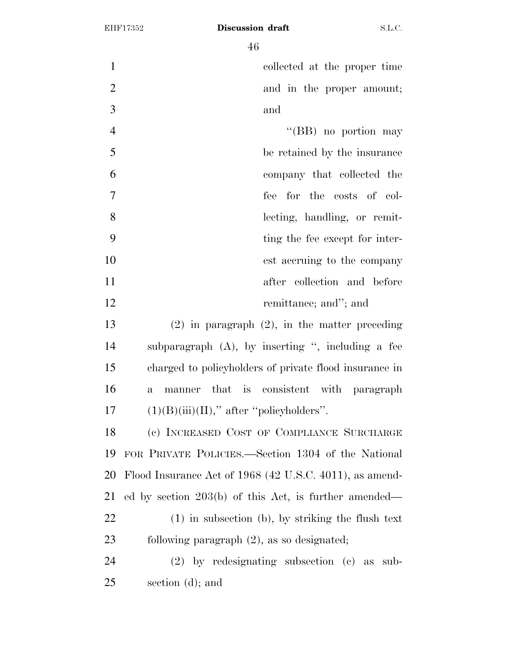$\overline{4}$  $\overline{6}$ 

|                | 40                                                       |
|----------------|----------------------------------------------------------|
| $\mathbf{1}$   | collected at the proper time                             |
| $\overline{2}$ | and in the proper amount;                                |
| 3              | and                                                      |
| $\overline{4}$ | "(BB) no portion may                                     |
| 5              | be retained by the insurance                             |
| 6              | company that collected the                               |
| $\overline{7}$ | fee for the costs of col-                                |
| 8              | lecting, handling, or remit-                             |
| 9              | ting the fee except for inter-                           |
| 10             | est accruing to the company                              |
| 11             | after collection and before                              |
| 12             | remittance; and"; and                                    |
| 13             | $(2)$ in paragraph $(2)$ , in the matter preceding       |
| 14             | subparagraph $(A)$ , by inserting ", including a fee     |
| 15             | charged to policyholders of private flood insurance in   |
| 16             | manner that is consistent with paragraph<br>$\mathbf{a}$ |
| 17             | $(1)(B)(iii)(II)$ ," after "policyholders".              |
| 18             | (c) INCREASED COST OF COMPLIANCE SURCHARGE               |
| 19             | FOR PRIVATE POLICIES.—Section 1304 of the National       |
| 20             | Flood Insurance Act of 1968 (42 U.S.C. 4011), as amend-  |
| 21             | ed by section $203(b)$ of this Act, is further amended—  |
| 22             | $(1)$ in subsection $(b)$ , by striking the flush text   |
| 23             | following paragraph $(2)$ , as so designated;            |
| 24             | $(2)$ by redesignating subsection $(e)$ as sub-          |
| 25             | section (d); and                                         |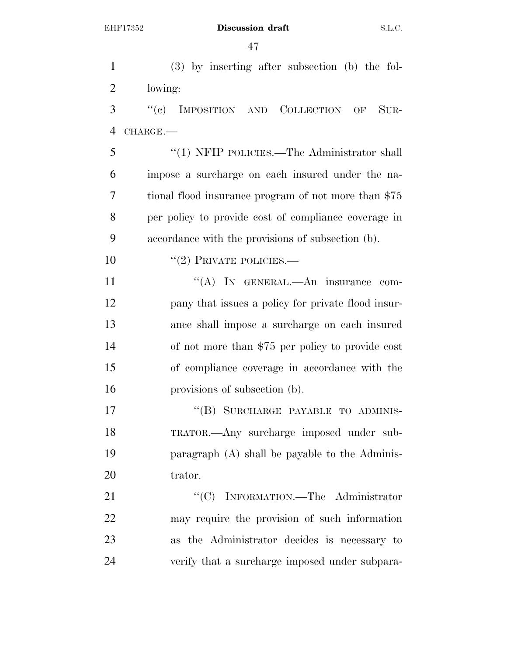(3) by inserting after subsection (b) the fol- lowing: ''(c) IMPOSITION AND COLLECTION OF SUR- CHARGE.— ''(1) NFIP POLICIES.—The Administrator shall impose a surcharge on each insured under the na- tional flood insurance program of not more than \$75 per policy to provide cost of compliance coverage in accordance with the provisions of subsection (b). 10 "(2) PRIVATE POLICIES.— 11 ""(A) In GENERAL.—An insurance com- pany that issues a policy for private flood insur- ance shall impose a surcharge on each insured of not more than \$75 per policy to provide cost of compliance coverage in accordance with the provisions of subsection (b). 17 "(B) SURCHARGE PAYABLE TO ADMINIS- TRATOR.—Any surcharge imposed under sub- paragraph (A) shall be payable to the Adminis-20 trator. 21 "'(C) INFORMATION.—The Administrator may require the provision of such information as the Administrator decides is necessary to verify that a surcharge imposed under subpara-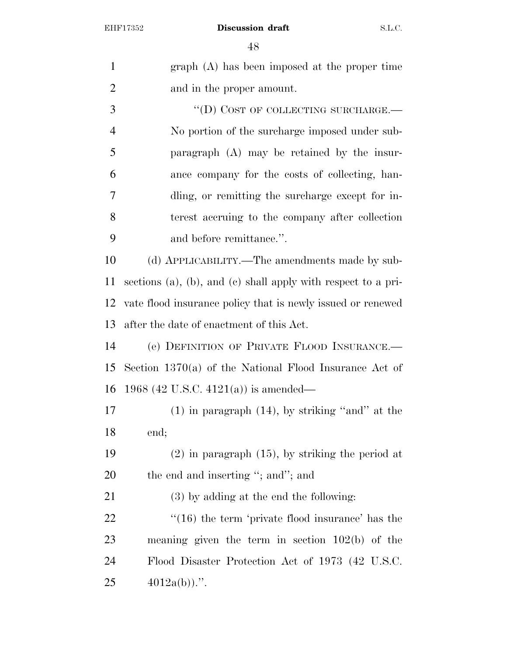graph (A) has been imposed at the proper time and in the proper amount. 3 "(D) COST OF COLLECTING SURCHARGE.— No portion of the surcharge imposed under sub- paragraph (A) may be retained by the insur- ance company for the costs of collecting, han- dling, or remitting the surcharge except for in- terest accruing to the company after collection and before remittance.''. (d) APPLICABILITY.—The amendments made by sub- sections (a), (b), and (c) shall apply with respect to a pri- vate flood insurance policy that is newly issued or renewed after the date of enactment of this Act. (e) DEFINITION OF PRIVATE FLOOD INSURANCE.— Section 1370(a) of the National Flood Insurance Act of 1968 (42 U.S.C. 4121(a)) is amended— (1) in paragraph (14), by striking ''and'' at the end; (2) in paragraph (15), by striking the period at 20 the end and inserting "; and"; and (3) by adding at the end the following: 22 ''(16) the term 'private flood insurance' has the meaning given the term in section 102(b) of the Flood Disaster Protection Act of 1973 (42 U.S.C.  $25 \qquad \qquad 4012a(b))$ .".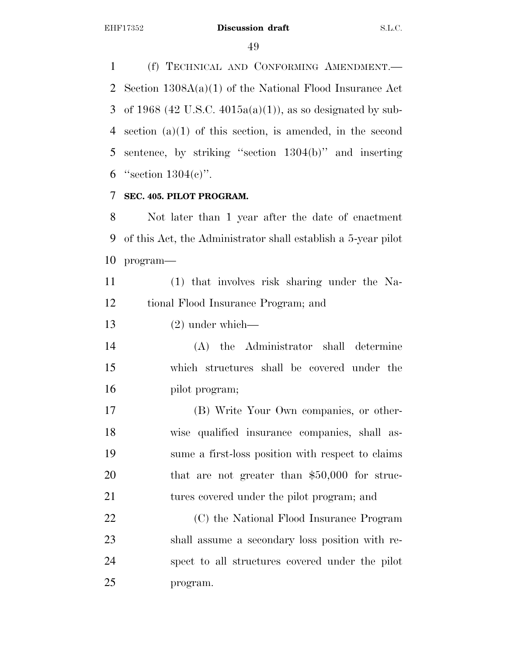(f) TECHNICAL AND CONFORMING AMENDMENT.— Section 1308A(a)(1) of the National Flood Insurance Act 3 of 1968 (42 U.S.C. 4015a(a)(1)), as so designated by sub- section (a)(1) of this section, is amended, in the second sentence, by striking ''section 1304(b)'' and inserting 6 "section  $1304(e)$ ".

## **SEC. 405. PILOT PROGRAM.**

 Not later than 1 year after the date of enactment of this Act, the Administrator shall establish a 5-year pilot program—

 (1) that involves risk sharing under the Na-tional Flood Insurance Program; and

(2) under which—

 (A) the Administrator shall determine which structures shall be covered under the pilot program;

 (B) Write Your Own companies, or other- wise qualified insurance companies, shall as- sume a first-loss position with respect to claims 20 that are not greater than \$50,000 for struc-tures covered under the pilot program; and

 (C) the National Flood Insurance Program shall assume a secondary loss position with re- spect to all structures covered under the pilot program.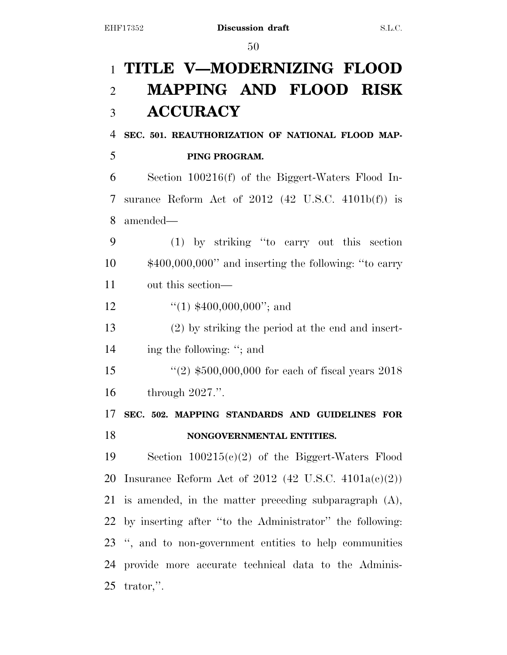# **TITLE V—MODERNIZING FLOOD MAPPING AND FLOOD RISK ACCURACY**

**SEC. 501. REAUTHORIZATION OF NATIONAL FLOOD MAP-**

# **PING PROGRAM.**

 Section 100216(f) of the Biggert-Waters Flood In- surance Reform Act of 2012 (42 U.S.C. 4101b(f)) is amended—

 (1) by striking ''to carry out this section \$400,000,000'' and inserting the following: ''to carry out this section—

12  $\frac{1}{(1)}$  \$400,000,000"; and

 (2) by striking the period at the end and insert-ing the following: ''; and

 ''(2) \$500,000,000 for each of fiscal years 2018 through 2027.''.

 **SEC. 502. MAPPING STANDARDS AND GUIDELINES FOR NONGOVERNMENTAL ENTITIES.** 

 Section 100215(c)(2) of the Biggert-Waters Flood 20 Insurance Reform Act of 2012 (42 U.S.C.  $4101a(c)(2)$ ) is amended, in the matter preceding subparagraph (A), by inserting after ''to the Administrator'' the following: '', and to non-government entities to help communities provide more accurate technical data to the Adminis-trator,''.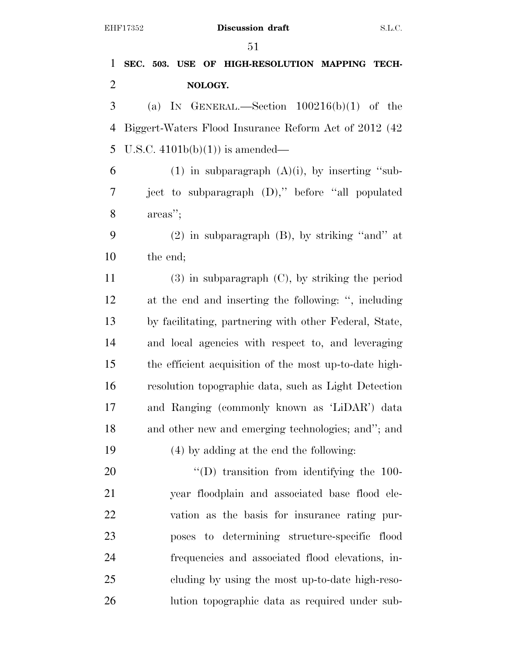| $\mathbf{1}$   | SEC. 503. USE OF HIGH-RESOLUTION MAPPING TECH-         |
|----------------|--------------------------------------------------------|
| $\overline{2}$ | NOLOGY.                                                |
| 3              | (a) IN GENERAL.—Section $100216(b)(1)$ of the          |
| $\overline{4}$ | Biggert-Waters Flood Insurance Reform Act of 2012 (42) |
| 5              | U.S.C. $4101b(b)(1)$ is amended—                       |
| 6              | (1) in subparagraph $(A)(i)$ , by inserting "sub-      |
| 7              | ject to subparagraph (D)," before "all populated       |
| $8\,$          | areas";                                                |
| 9              | $(2)$ in subparagraph $(B)$ , by striking "and" at     |
| 10             | the end;                                               |
| 11             | $(3)$ in subparagraph $(C)$ , by striking the period   |
| 12             | at the end and inserting the following: ", including   |
| 13             | by facilitating, partnering with other Federal, State, |
| 14             | and local agencies with respect to, and leveraging     |
| 15             | the efficient acquisition of the most up-to-date high- |
| 16             | resolution topographic data, such as Light Detection   |
| 17             | and Ranging (commonly known as 'LiDAR') data           |
| 18             | and other new and emerging technologies; and"; and     |
| 19             | (4) by adding at the end the following:                |
| 20             | $\cdot$ (D) transition from identifying the 100-       |
| 21             | year floodplain and associated base flood ele-         |
| 22             | vation as the basis for insurance rating pur-          |
| 23             | poses to determining structure-specific flood          |
| 24             | frequencies and associated flood elevations, in-       |
| 25             | cluding by using the most up-to-date high-reso-        |
| 26             | lution topographic data as required under sub-         |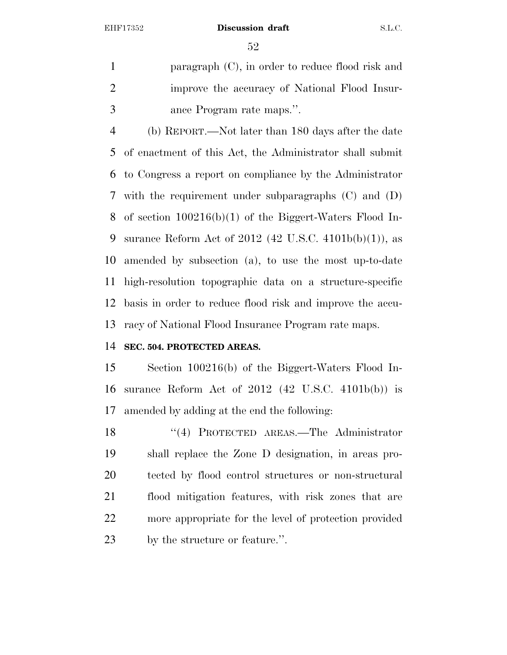paragraph (C), in order to reduce flood risk and improve the accuracy of National Flood Insur-ance Program rate maps.''.

 (b) REPORT.—Not later than 180 days after the date of enactment of this Act, the Administrator shall submit to Congress a report on compliance by the Administrator with the requirement under subparagraphs (C) and (D) of section 100216(b)(1) of the Biggert-Waters Flood In- surance Reform Act of 2012 (42 U.S.C. 4101b(b)(1)), as amended by subsection (a), to use the most up-to-date high-resolution topographic data on a structure-specific basis in order to reduce flood risk and improve the accu-racy of National Flood Insurance Program rate maps.

# **SEC. 504. PROTECTED AREAS.**

 Section 100216(b) of the Biggert-Waters Flood In- surance Reform Act of 2012 (42 U.S.C. 4101b(b)) is amended by adding at the end the following:

18 "(4) PROTECTED AREAS.—The Administrator shall replace the Zone D designation, in areas pro- tected by flood control structures or non-structural flood mitigation features, with risk zones that are more appropriate for the level of protection provided by the structure or feature.''.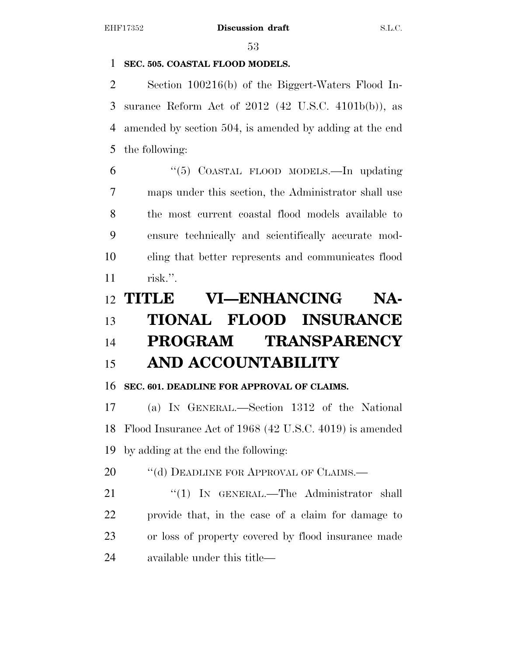# **SEC. 505. COASTAL FLOOD MODELS.**

 Section 100216(b) of the Biggert-Waters Flood In- surance Reform Act of 2012 (42 U.S.C. 4101b(b)), as amended by section 504, is amended by adding at the end the following:

 ''(5) COASTAL FLOOD MODELS.—In updating maps under this section, the Administrator shall use the most current coastal flood models available to ensure technically and scientifically accurate mod- eling that better represents and communicates flood risk.''.

# **TITLE VI—ENHANCING NA- TIONAL FLOOD INSURANCE PROGRAM TRANSPARENCY AND ACCOUNTABILITY**

# **SEC. 601. DEADLINE FOR APPROVAL OF CLAIMS.**

 (a) IN GENERAL.—Section 1312 of the National Flood Insurance Act of 1968 (42 U.S.C. 4019) is amended by adding at the end the following:

20 "(d) DEADLINE FOR APPROVAL OF CLAIMS.—

21 "(1) IN GENERAL.—The Administrator shall provide that, in the case of a claim for damage to or loss of property covered by flood insurance made available under this title—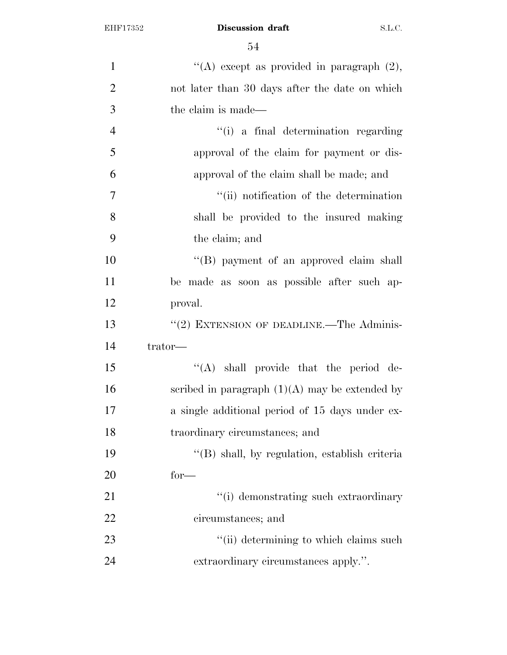| $\mathbf{1}$   | "(A) except as provided in paragraph $(2)$ ,     |
|----------------|--------------------------------------------------|
| $\overline{2}$ | not later than 30 days after the date on which   |
| 3              | the claim is made—                               |
| $\overline{4}$ | "(i) a final determination regarding             |
| 5              | approval of the claim for payment or dis-        |
| 6              | approval of the claim shall be made; and         |
| $\overline{7}$ | "(ii) notification of the determination          |
| 8              | shall be provided to the insured making          |
| 9              | the claim; and                                   |
| 10             | "(B) payment of an approved claim shall          |
| 11             | be made as soon as possible after such ap-       |
| 12             | proval.                                          |
| 13             | "(2) EXTENSION OF DEADLINE.—The Adminis-         |
| 14             | trator-                                          |
|                |                                                  |
| 15             | "(A) shall provide that the period de-           |
| 16             | scribed in paragraph $(1)(A)$ may be extended by |
| 17             | a single additional period of 15 days under ex-  |
| 18             | traordinary circumstances; and                   |
| 19             | "(B) shall, by regulation, establish criteria    |
| 20             | $for-$                                           |
| 21             | "(i) demonstrating such extraordinary            |
| 22             | circumstances; and                               |
| 23             | "(ii) determining to which claims such           |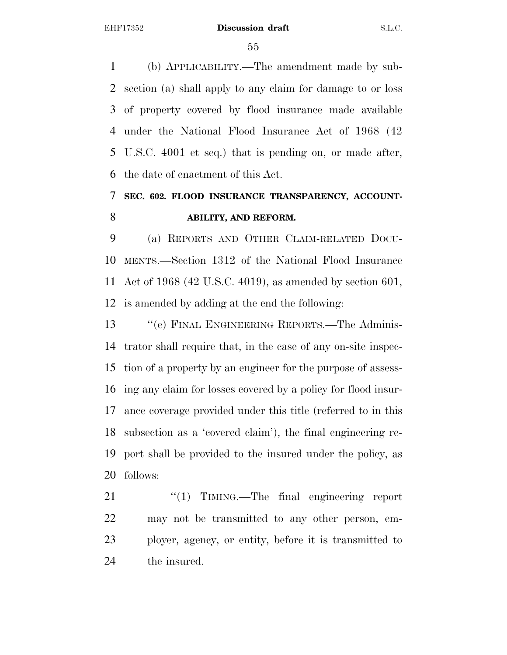(b) APPLICABILITY.—The amendment made by sub- section (a) shall apply to any claim for damage to or loss of property covered by flood insurance made available under the National Flood Insurance Act of 1968 (42 U.S.C. 4001 et seq.) that is pending on, or made after, the date of enactment of this Act.

# **SEC. 602. FLOOD INSURANCE TRANSPARENCY, ACCOUNT-ABILITY, AND REFORM.**

 (a) REPORTS AND OTHER CLAIM-RELATED DOCU- MENTS.—Section 1312 of the National Flood Insurance Act of 1968 (42 U.S.C. 4019), as amended by section 601, is amended by adding at the end the following:

13 "'(e) FINAL ENGINEERING REPORTS.—The Adminis- trator shall require that, in the case of any on-site inspec- tion of a property by an engineer for the purpose of assess- ing any claim for losses covered by a policy for flood insur- ance coverage provided under this title (referred to in this subsection as a 'covered claim'), the final engineering re- port shall be provided to the insured under the policy, as follows:

21 "(1) TIMING.—The final engineering report may not be transmitted to any other person, em- ployer, agency, or entity, before it is transmitted to the insured.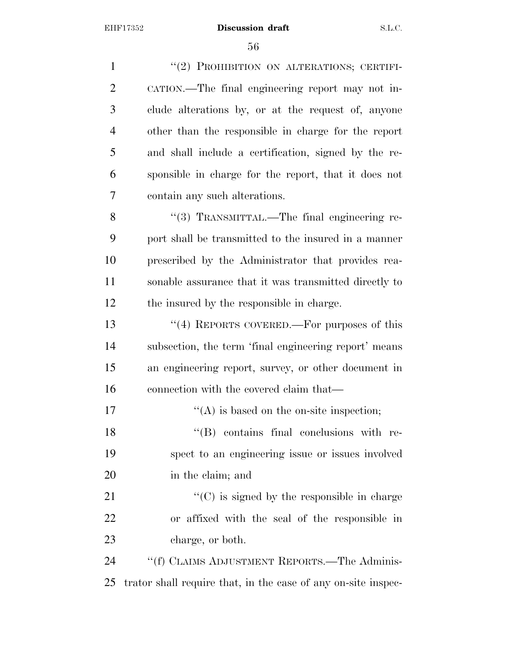1 "(2) PROHIBITION ON ALTERATIONS; CERTIFI- CATION.—The final engineering report may not in- clude alterations by, or at the request of, anyone other than the responsible in charge for the report and shall include a certification, signed by the re- sponsible in charge for the report, that it does not contain any such alterations. 8 "(3) TRANSMITTAL.—The final engineering re- port shall be transmitted to the insured in a manner prescribed by the Administrator that provides rea- sonable assurance that it was transmitted directly to the insured by the responsible in charge. ''(4) REPORTS COVERED.—For purposes of this subsection, the term 'final engineering report' means an engineering report, survey, or other document in connection with the covered claim that—  $"({\rm A})$  is based on the on-site inspection; 18 ''(B) contains final conclusions with re- spect to an engineering issue or issues involved in the claim; and  $\cdot$  (C) is signed by the responsible in charge or affixed with the seal of the responsible in 23 charge, or both. 24 ""(f) CLAIMS ADJUSTMENT REPORTS.—The Adminis-trator shall require that, in the case of any on-site inspec-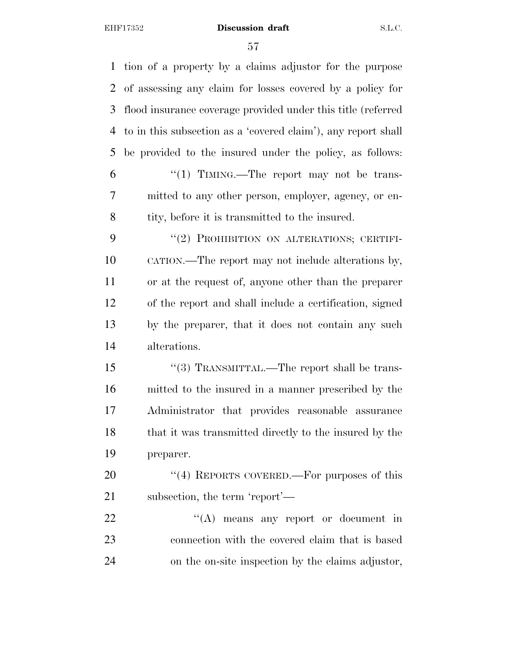| tion of a property by a claims adjustor for the purpose       |
|---------------------------------------------------------------|
| of assessing any claim for losses covered by a policy for     |
| flood insurance coverage provided under this title (referred  |
| to in this subsection as a 'covered claim'), any report shall |
| be provided to the insured under the policy, as follows:      |
| "(1) TIMING.—The report may not be trans-                     |
| mitted to any other person, employer, agency, or en-          |
| tity, before it is transmitted to the insured.                |
| "(2) PROHIBITION ON ALTERATIONS; CERTIFI-                     |
| CATION.—The report may not include alterations by,            |
| or at the request of, anyone other than the preparer          |
| of the report and shall include a certification, signed       |
| by the preparer, that it does not contain any such            |
| alterations.                                                  |
| "(3) TRANSMITTAL.—The report shall be trans-                  |
| mitted to the insured in a manner prescribed by the           |
| Administrator that provides reasonable assurance              |
| that it was transmitted directly to the insured by the        |
| preparer.                                                     |
| "(4) REPORTS COVERED.—For purposes of this                    |
| subsection, the term 'report'—                                |
| $\lq\lq$ means any report or document in                      |
| connection with the covered claim that is based               |
| on the on-site inspection by the claims adjustor,             |
|                                                               |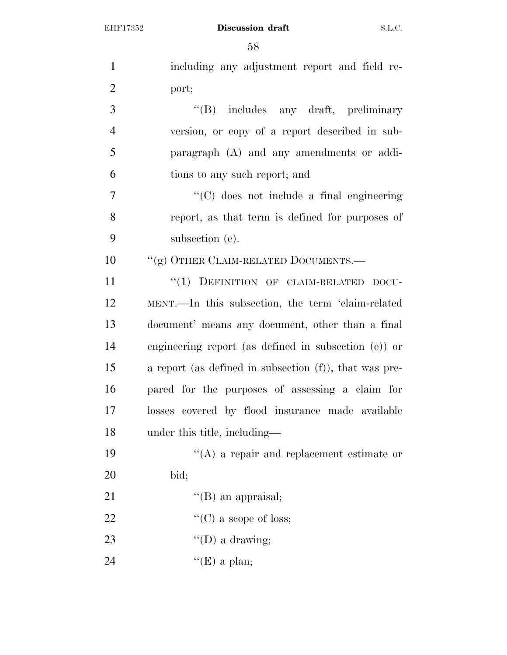| $\mathbf{1}$   | including any adjustment report and field re-           |
|----------------|---------------------------------------------------------|
| $\overline{2}$ | port;                                                   |
| 3              | "(B) includes any draft, preliminary                    |
| $\overline{4}$ | version, or copy of a report described in sub-          |
| 5              | paragraph $(A)$ and any amendments or addi-             |
| 6              | tions to any such report; and                           |
| 7              | $\lq\lq$ (C) does not include a final engineering       |
| 8              | report, as that term is defined for purposes of         |
| 9              | subsection (e).                                         |
| 10             | "(g) OTHER CLAIM-RELATED DOCUMENTS.—                    |
| 11             | "(1) DEFINITION OF CLAIM-RELATED DOCU-                  |
| 12             | MENT.—In this subsection, the term 'claim-related       |
| 13             | document' means any document, other than a final        |
| 14             | engineering report (as defined in subsection $(e)$ ) or |
| 15             | a report (as defined in subsection (f)), that was pre-  |
| 16             | pared for the purposes of assessing a claim for         |
| 17             | losses covered by flood insurance made available        |
| 18             | under this title, including—                            |
| 19             | $\lq\lq$ a repair and replacement estimate or           |
| 20             | bid;                                                    |
| 21             | $\lq\lq$ (B) an appraisal;                              |
| 22             | "(C) a scope of loss;                                   |
| 23             | $\lq\lq$ (D) a drawing;                                 |
| 24             | "(E) a plan;                                            |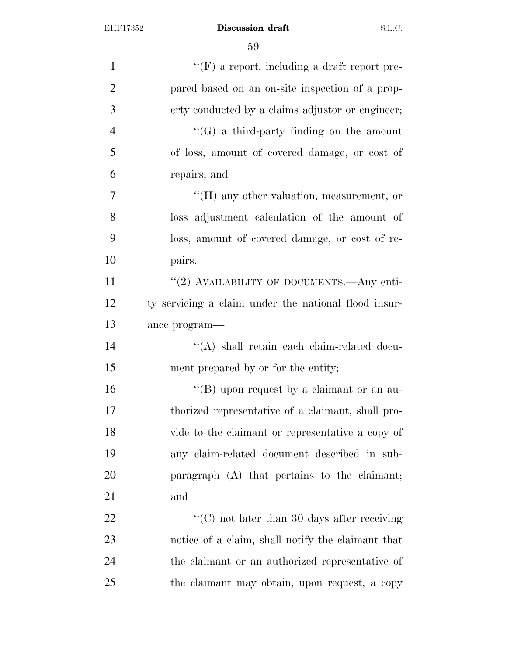| $\mathbf{1}$   | $\lq\lq(\mathrm{F})$ a report, including a draft report pre- |
|----------------|--------------------------------------------------------------|
| $\overline{2}$ | pared based on an on-site inspection of a prop-              |
| 3              | erty conducted by a claims adjustor or engineer;             |
| $\overline{4}$ | $\lq\lq(G)$ a third-party finding on the amount              |
| 5              | of loss, amount of covered damage, or cost of                |
| 6              | repairs; and                                                 |
| $\tau$         | $H(H)$ any other valuation, measurement, or                  |
| 8              | loss adjustment calculation of the amount of                 |
| 9              | loss, amount of covered damage, or cost of re-               |
| 10             | pairs.                                                       |
| 11             | "(2) AVAILABILITY OF DOCUMENTS.—Any enti-                    |
| 12             | ty servicing a claim under the national flood insur-         |
| 13             | ance program-                                                |
| 14             | $\lq\lq$ shall retain each claim-related docu-               |
| 15             | ment prepared by or for the entity;                          |
| 16             | "(B) upon request by a claimant or an au-                    |
| 17             | thorized representative of a claimant, shall pro-            |
| 18             | vide to the claimant or representative a copy of             |
| 19             | any claim-related document described in sub-                 |
| 20             | paragraph (A) that pertains to the claimant;                 |
| 21             | and                                                          |
| 22             | "(C) not later than 30 days after receiving                  |
| 23             | notice of a claim, shall notify the claimant that            |
| 24             | the claimant or an authorized representative of              |
| 25             | the claimant may obtain, upon request, a copy                |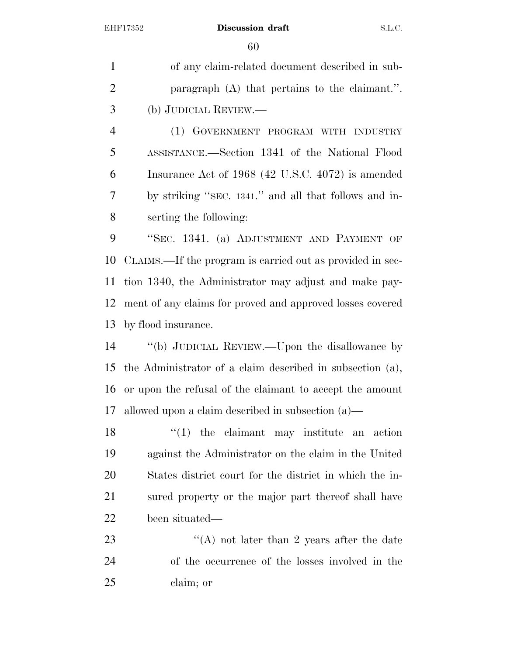of any claim-related document described in sub- paragraph (A) that pertains to the claimant.''. (b) JUDICIAL REVIEW.—

 (1) GOVERNMENT PROGRAM WITH INDUSTRY ASSISTANCE.—Section 1341 of the National Flood Insurance Act of 1968 (42 U.S.C. 4072) is amended by striking ''SEC. 1341.'' and all that follows and in-serting the following:

 ''SEC. 1341. (a) ADJUSTMENT AND PAYMENT OF CLAIMS.—If the program is carried out as provided in sec- tion 1340, the Administrator may adjust and make pay- ment of any claims for proved and approved losses covered by flood insurance.

 ''(b) JUDICIAL REVIEW.—Upon the disallowance by the Administrator of a claim described in subsection (a), or upon the refusal of the claimant to accept the amount allowed upon a claim described in subsection (a)—

18 ''(1) the claimant may institute an action against the Administrator on the claim in the United States district court for the district in which the in- sured property or the major part thereof shall have been situated—

23  $\langle (A) \rangle$  not later than 2 years after the date of the occurrence of the losses involved in the claim; or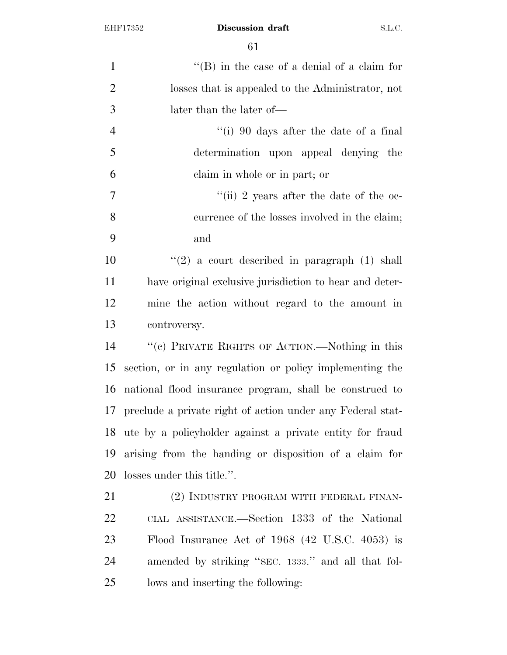| $\mathbf{1}$   | $\lq\lq$ (B) in the case of a denial of a claim for         |
|----------------|-------------------------------------------------------------|
| $\overline{2}$ | losses that is appealed to the Administrator, not           |
| 3              | later than the later of—                                    |
| $\overline{4}$ | "(i) 90 days after the date of a final                      |
| 5              | determination upon appeal denying the                       |
| 6              | claim in whole or in part; or                               |
| $\tau$         | "(ii) 2 years after the date of the oc-                     |
| 8              | currence of the losses involved in the claim;               |
| 9              | and                                                         |
| 10             | $(2)$ a court described in paragraph $(1)$ shall            |
| 11             | have original exclusive jurisdiction to hear and deter-     |
| 12             | mine the action without regard to the amount in             |
| 13             | controversy.                                                |
| 14             | "(c) PRIVATE RIGHTS OF ACTION.—Nothing in this              |
| 15             | section, or in any regulation or policy implementing the    |
| 16             | national flood insurance program, shall be construed to     |
| 17             | preclude a private right of action under any Federal stat-  |
|                | 18 ute by a policyholder against a private entity for fraud |
| 19             | arising from the handing or disposition of a claim for      |
| 20             | losses under this title.".                                  |
| 21             | (2) INDUSTRY PROGRAM WITH FEDERAL FINAN-                    |
| 22             | CIAL ASSISTANCE.—Section 1333 of the National               |
| 23             | Flood Insurance Act of $1968$ (42 U.S.C. 4053) is           |
| 24             | amended by striking "SEC. 1333." and all that fol-          |
| 25             | lows and inserting the following:                           |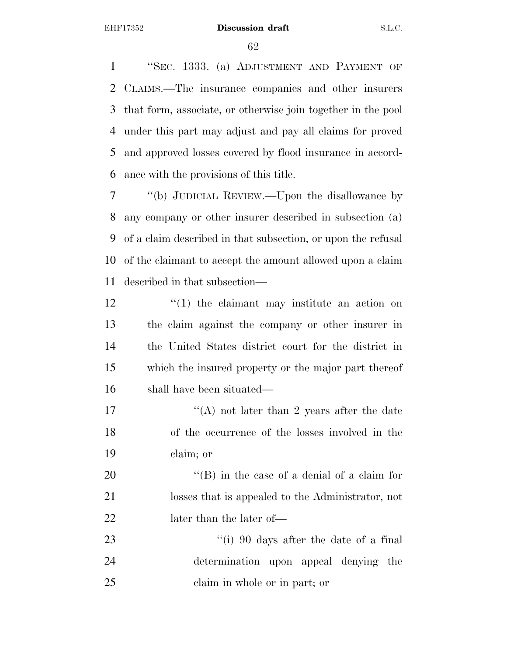''SEC. 1333. (a) ADJUSTMENT AND PAYMENT OF CLAIMS.—The insurance companies and other insurers that form, associate, or otherwise join together in the pool under this part may adjust and pay all claims for proved and approved losses covered by flood insurance in accord-ance with the provisions of this title.

 ''(b) JUDICIAL REVIEW.—Upon the disallowance by any company or other insurer described in subsection (a) of a claim described in that subsection, or upon the refusal of the claimant to accept the amount allowed upon a claim described in that subsection—

- 12 ''(1) the claimant may institute an action on the claim against the company or other insurer in the United States district court for the district in which the insured property or the major part thereof shall have been situated—
- 17 ''(A) not later than 2 years after the date of the occurrence of the losses involved in the claim; or

20  $\langle$  (B) in the case of a denial of a claim for losses that is appealed to the Administrator, not later than the later of—

23 ''(i) 90 days after the date of a final determination upon appeal denying the claim in whole or in part; or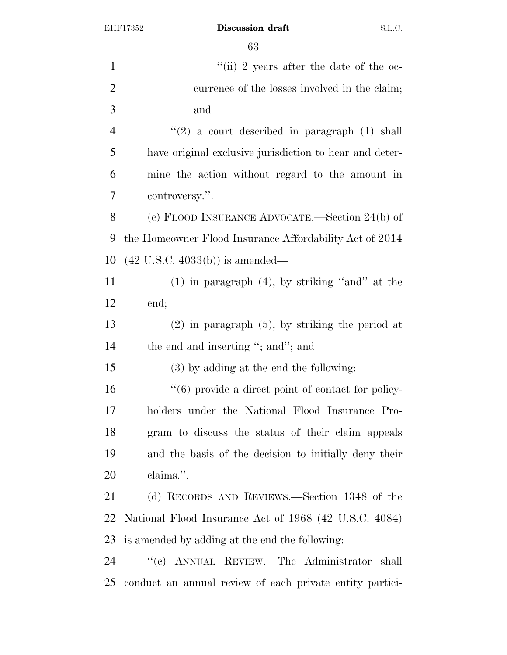| $\mathbf{1}$   | "(ii) 2 years after the date of the oc-                  |
|----------------|----------------------------------------------------------|
| $\overline{2}$ | currence of the losses involved in the claim;            |
| $\mathfrak{Z}$ | and                                                      |
| $\overline{4}$ | $(2)$ a court described in paragraph $(1)$ shall         |
| 5              | have original exclusive jurisdiction to hear and deter-  |
| 6              | mine the action without regard to the amount in          |
| 7              | controversy.".                                           |
| 8              | (c) FLOOD INSURANCE ADVOCATE.—Section 24(b) of           |
| 9              | the Homeowner Flood Insurance Affordability Act of 2014  |
| 10             | $(42 \text{ U.S.C. } 4033(b))$ is amended—               |
| 11             | $(1)$ in paragraph $(4)$ , by striking "and" at the      |
| 12             | end;                                                     |
| 13             | $(2)$ in paragraph $(5)$ , by striking the period at     |
| 14             | the end and inserting "; and"; and                       |
| 15             | $(3)$ by adding at the end the following:                |
| 16             | "(6) provide a direct point of contact for policy-       |
| 17             | holders under the National Flood Insurance Pro-          |
| 18             | gram to discuss the status of their claim appeals        |
| 19             | and the basis of the decision to initially deny their    |
| 20             | claims.".                                                |
| 21             | (d) RECORDS AND REVIEWS.—Section 1348 of the             |
| 22             | National Flood Insurance Act of 1968 (42 U.S.C. 4084)    |
| 23             | is amended by adding at the end the following:           |
| 24             | "(c) ANNUAL REVIEW.—The Administrator shall              |
| 25             | conduct an annual review of each private entity partici- |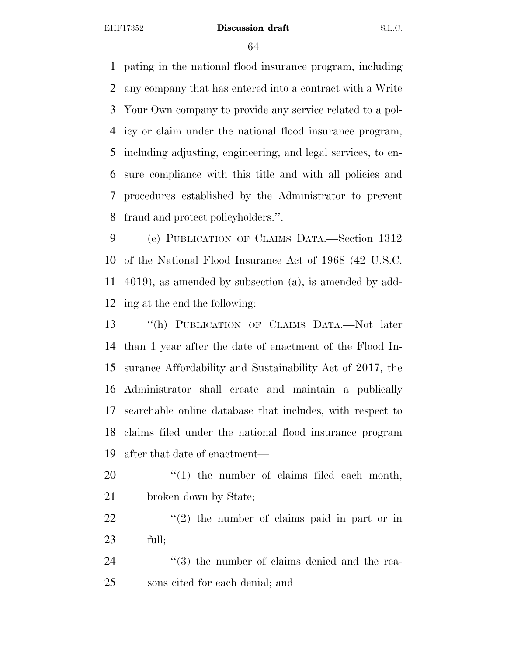pating in the national flood insurance program, including any company that has entered into a contract with a Write Your Own company to provide any service related to a pol- icy or claim under the national flood insurance program, including adjusting, engineering, and legal services, to en- sure compliance with this title and with all policies and procedures established by the Administrator to prevent fraud and protect policyholders.''.

 (e) PUBLICATION OF CLAIMS DATA.—Section 1312 of the National Flood Insurance Act of 1968 (42 U.S.C. 4019), as amended by subsection (a), is amended by add-ing at the end the following:

 ''(h) PUBLICATION OF CLAIMS DATA.—Not later than 1 year after the date of enactment of the Flood In- surance Affordability and Sustainability Act of 2017, the Administrator shall create and maintain a publically searchable online database that includes, with respect to claims filed under the national flood insurance program after that date of enactment—

20  $\frac{1}{20}$  (1) the number of claims filed each month, 21 broken down by State;

 ''(2) the number of claims paid in part or in full;

24 ''(3) the number of claims denied and the rea-sons cited for each denial; and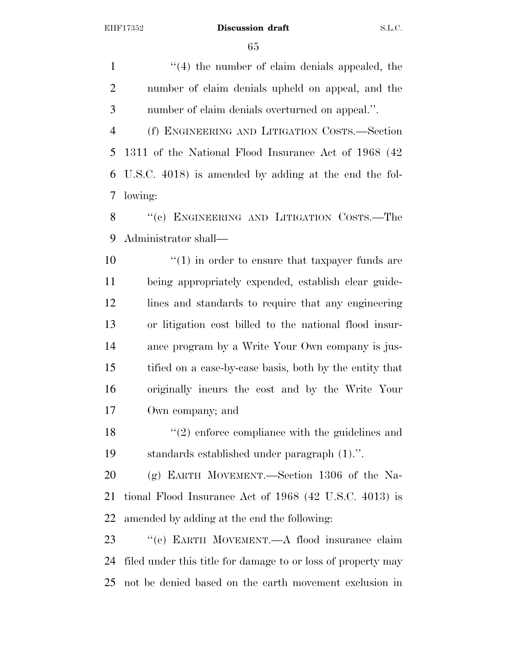1 ''(4) the number of claim denials appealed, the number of claim denials upheld on appeal, and the number of claim denials overturned on appeal.''. (f) ENGINEERING AND LITIGATION COSTS.—Section 1311 of the National Flood Insurance Act of 1968 (42 U.S.C. 4018) is amended by adding at the end the fol- lowing: 8 "(c) ENGINEERING AND LITIGATION COSTS.—The Administrator shall—

 $\frac{1}{2}$  (1) in order to ensure that taxpayer funds are being appropriately expended, establish clear guide- lines and standards to require that any engineering or litigation cost billed to the national flood insur- ance program by a Write Your Own company is jus- tified on a case-by-case basis, both by the entity that originally incurs the cost and by the Write Your Own company; and

18 ''(2) enforce compliance with the guidelines and standards established under paragraph (1).''.

 (g) EARTH MOVEMENT.—Section 1306 of the Na- tional Flood Insurance Act of 1968 (42 U.S.C. 4013) is amended by adding at the end the following:

 ''(e) EARTH MOVEMENT.—A flood insurance claim filed under this title for damage to or loss of property may not be denied based on the earth movement exclusion in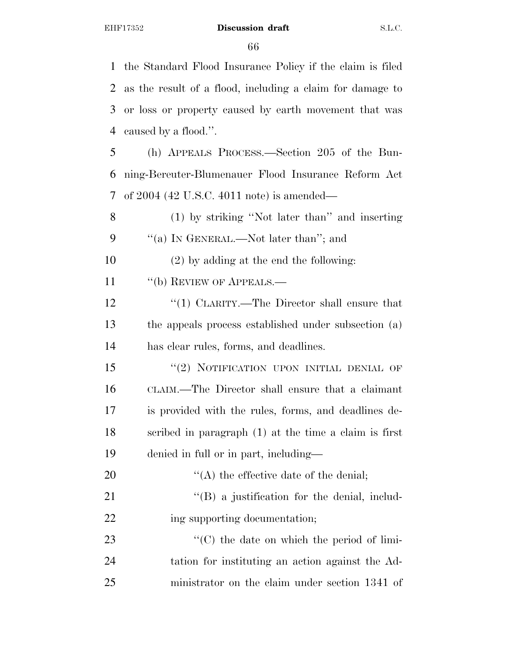the Standard Flood Insurance Policy if the claim is filed as the result of a flood, including a claim for damage to or loss or property caused by earth movement that was caused by a flood.''. (h) APPEALS PROCESS.—Section 205 of the Bun- ning-Bereuter-Blumenauer Flood Insurance Reform Act of 2004 (42 U.S.C. 4011 note) is amended— (1) by striking ''Not later than'' and inserting 9 "(a) In GENERAL.—Not later than"; and (2) by adding at the end the following: 11 "(b) REVIEW OF APPEALS.— 12 '(1) CLARITY.—The Director shall ensure that the appeals process established under subsection (a) has clear rules, forms, and deadlines. 15 "(2) NOTIFICATION UPON INITIAL DENIAL OF CLAIM.—The Director shall ensure that a claimant is provided with the rules, forms, and deadlines de- scribed in paragraph (1) at the time a claim is first denied in full or in part, including—  $\langle (A)$  the effective date of the denial; 21 ''(B) a justification for the denial, includ-22 ing supporting documentation;  $\cdot$  (C) the date on which the period of limi-tation for instituting an action against the Ad-

ministrator on the claim under section 1341 of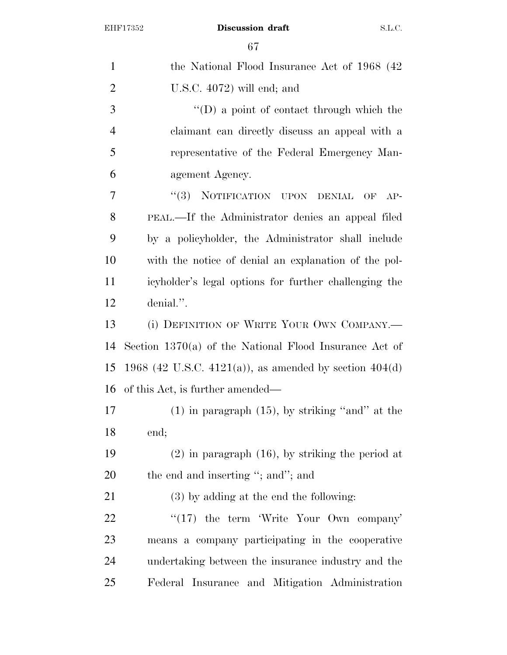| $\mathbf{1}$   | the National Flood Insurance Act of 1968 (42)            |
|----------------|----------------------------------------------------------|
| $\overline{2}$ | U.S.C. $4072$ ) will end; and                            |
| 3              | $\lq\lq$ a point of contact through which the            |
| $\overline{4}$ | claimant can directly discuss an appeal with a           |
| 5              | representative of the Federal Emergency Man-             |
| 6              | agement Agency.                                          |
| $\overline{7}$ | NOTIFICATION UPON DENIAL OF AP-<br>(3)                   |
| 8              | PEAL.—If the Administrator denies an appeal filed        |
| 9              | by a policyholder, the Administrator shall include       |
| 10             | with the notice of denial an explanation of the pol-     |
| 11             | icyholder's legal options for further challenging the    |
| 12             | denial.".                                                |
| 13             | (i) DEFINITION OF WRITE YOUR OWN COMPANY.—               |
| 14             | Section $1370(a)$ of the National Flood Insurance Act of |
| 15             | 1968 (42 U.S.C. 4121(a)), as amended by section $404(d)$ |
| 16             | of this Act, is further amended—                         |
| 17             | $(1)$ in paragraph $(15)$ , by striking "and" at the     |
| 18             | end;                                                     |
| 19             | $(2)$ in paragraph $(16)$ , by striking the period at    |
| 20             | the end and inserting "; and"; and                       |
| 21             | $(3)$ by adding at the end the following:                |
| 22             | $\lq(17)$ the term 'Write Your Own company'              |
| 23             | means a company participating in the cooperative         |
| 24             | undertaking between the insurance industry and the       |
| 25             | Federal Insurance and Mitigation Administration          |
|                |                                                          |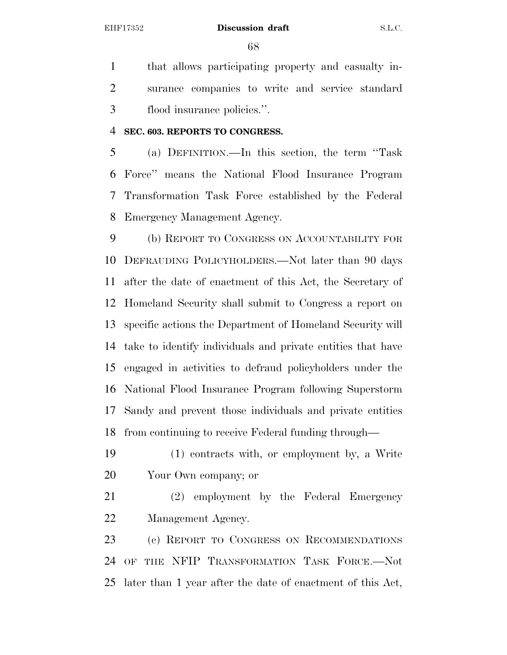that allows participating property and casualty in- surance companies to write and service standard flood insurance policies.''.

#### **SEC. 603. REPORTS TO CONGRESS.**

 (a) DEFINITION.—In this section, the term ''Task Force'' means the National Flood Insurance Program Transformation Task Force established by the Federal Emergency Management Agency.

 (b) REPORT TO CONGRESS ON ACCOUNTABILITY FOR DEFRAUDING POLICYHOLDERS.—Not later than 90 days after the date of enactment of this Act, the Secretary of Homeland Security shall submit to Congress a report on specific actions the Department of Homeland Security will take to identify individuals and private entities that have engaged in activities to defraud policyholders under the National Flood Insurance Program following Superstorm Sandy and prevent those individuals and private entities from continuing to receive Federal funding through—

 (1) contracts with, or employment by, a Write Your Own company; or

 (2) employment by the Federal Emergency Management Agency.

 (c) REPORT TO CONGRESS ON RECOMMENDATIONS OF THE NFIP TRANSFORMATION TASK FORCE.—Not later than 1 year after the date of enactment of this Act,